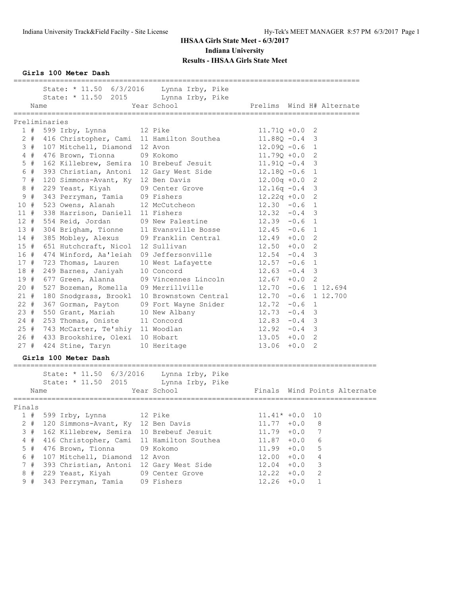|        | State: * 11.50 6/3/2016<br>State: * 11.50 2015            | Lynna Irby, Pike<br>Lynna Irby, Pike |                           |        |    |                              |
|--------|-----------------------------------------------------------|--------------------------------------|---------------------------|--------|----|------------------------------|
| Name   | ===================                                       | Year School                          | Prelims Wind H# Alternate |        |    |                              |
|        | Preliminaries                                             |                                      |                           |        |    |                              |
|        | 1 # 599 Irby, Lynna 12 Pike                               |                                      | $11.710 + 0.0$ 2          |        |    |                              |
|        | 2 # 416 Christopher, Cami 11 Hamilton Southea             |                                      | $11.88Q - 0.4$ 3          |        |    |                              |
|        | 3 # 107 Mitchell, Diamond 12 Avon                         |                                      | $12.09Q - 0.6$ 1          |        |    |                              |
|        | 4 # 476 Brown, Tionna 09 Kokomo                           |                                      | $11.79Q + 0.0$ 2          |        |    |                              |
| $5$ #  | 162 Killebrew, Semira 10 Brebeuf Jesuit                   |                                      | $11.91Q - 0.4$ 3          |        |    |                              |
| 6 #    | 393 Christian, Antoni 12 Gary West Side                   |                                      | $12.18Q - 0.6$ 1          |        |    |                              |
| 7#     | 120 Simmons-Avant, Ky 12 Ben Davis                        |                                      | $12.00q +0.0$             |        | 2  |                              |
| 8#     | 229 Yeast, Kiyah                                          | 09 Center Grove                      | $12.16q - 0.4$ 3          |        |    |                              |
| 9#     | 343 Perryman, Tamia 09 Fishers                            |                                      | $12.22q + 0.0$ 2          |        |    |                              |
| 10#    | 523 Owens, Alanah                                         | 12 McCutcheon                        | $12.30 -0.6$ 1            |        |    |                              |
|        | 11 # 338 Harrison, Daniell 11 Fishers                     |                                      | $12.32 -0.4$ 3            |        |    |                              |
| 12#    | 554 Reid, Jordan                                          | 09 New Palestine 12.39 -0.6 1        |                           |        |    |                              |
|        | 13 # 304 Brigham, Tionne 11 Evansville Bosse 12.45 -0.6 1 |                                      |                           |        |    |                              |
| 14 #   | 385 Mobley, Alexus 09 Franklin Central                    |                                      | $12.49 + 0.02$            |        |    |                              |
|        | 15 # 651 Hutchcraft, Nicol 12 Sullivan                    |                                      | $12.50 + 0.0 2$           |        |    |                              |
|        | 16 # 474 Winford, Aa'leiah 09 Jeffersonville              |                                      | $12.54 -0.4$ 3            |        |    |                              |
| 17#    | 723 Thomas, Lauren                                        | 10 West Lafayette                    | $12.57 -0.6$ 1            |        |    |                              |
| 18#    | 249 Barnes, Janiyah                                       | 10 Concord                           | $12.63 -0.4$ 3            |        |    |                              |
| 19#    | 677 Green, Alanna                                         | 09 Vincennes Lincoln 12.67 +0.0 2    |                           |        |    |                              |
| 20#    | 527 Bozeman, Romella                                      | 09 Merrillville                      | $12.70 - 0.6$ 1 12.694    |        |    |                              |
| 21#    | 180 Snodgrass, Brookl 10 Brownstown Central               |                                      | $12.70 -0.6 1 12.700$     |        |    |                              |
| $22$ # | 367 Gorman, Payton                                        | 09 Fort Wayne Snider                 | $12.72 -0.6$ 1            |        |    |                              |
| 23#    | 550 Grant, Mariah                                         | 10 New Albany                        | $12.73 - 0.4$ 3           |        |    |                              |
|        | 24 # 253 Thomas, Oniste 11 Concord                        |                                      | $12.83 - 0.4$ 3           |        |    |                              |
|        | 25 # 743 McCarter, Te'shiy 11 Woodlan                     |                                      | $12.92 - 0.4$ 3           |        |    |                              |
|        | 26 # 433 Brookshire, Olexi 10 Hobart                      |                                      | $13.05 + 0.0$ 2           |        |    |                              |
|        | 27 # 424 Stine, Taryn                                     | 10 Heritage                          | $13.06 + 0.0 2$           |        |    |                              |
|        | Girls 100 Meter Dash                                      |                                      |                           |        |    |                              |
|        |                                                           |                                      |                           |        |    |                              |
|        | State: * 11.50 6/3/2016 Lynna Irby, Pike                  |                                      |                           |        |    |                              |
|        | State: * 11.50 2015                                       | Lynna Irby, Pike                     |                           |        |    |                              |
| Name   |                                                           | Year School                          |                           |        |    | Finals Wind Points Alternate |
| Finals |                                                           |                                      |                           |        |    |                              |
| 1#     | 599 Irby, Lynna                                           | 12 Pike                              | $11.41* +0.0$             |        | 10 |                              |
| $2$ #  | 120 Simmons-Avant, Ky                                     | 12 Ben Davis                         | 11.77                     | $+0.0$ | 8  |                              |
| 3#     | 162 Killebrew, Semira                                     | 10 Brebeuf Jesuit                    | 11.79                     | $+0.0$ | 7  |                              |
| $4$ #  | 416 Christopher, Cami                                     | 11 Hamilton Southea                  | 11.87                     | $+0.0$ | 6  |                              |
| $5$ #  | 476 Brown, Tionna                                         | 09 Kokomo                            | 11.99                     | $+0.0$ | 5  |                              |
| 6 #    | 107 Mitchell, Diamond                                     | 12 Avon                              | 12.00                     | $+0.0$ | 4  |                              |
| 7#     | 393 Christian, Antoni                                     | 12 Gary West Side                    | 12.04                     | $+0.0$ | 3  |                              |
| 8#     | 229 Yeast, Kiyah                                          | 09 Center Grove                      | 12.22                     | $+0.0$ | 2  |                              |
| 9#     | 343 Perryman, Tamia                                       | 09 Fishers                           | 12.26                     | $+0.0$ | 1  |                              |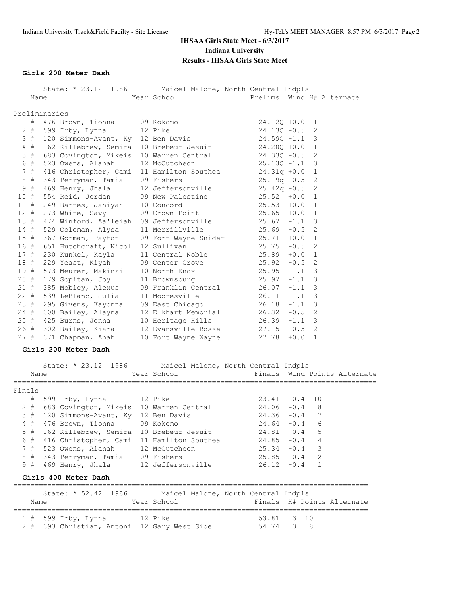**Girls 200 Meter Dash**

|        |               |                                               | State: * 23.12 1986 Maicel Malone, North Central Indpls                                                                      |                                                    |        |              |                              |
|--------|---------------|-----------------------------------------------|------------------------------------------------------------------------------------------------------------------------------|----------------------------------------------------|--------|--------------|------------------------------|
|        | Name          |                                               | Year School                                                                                                                  | Prelims Wind H# Alternate                          |        |              |                              |
|        |               |                                               |                                                                                                                              |                                                    |        |              |                              |
|        | Preliminaries |                                               |                                                                                                                              |                                                    |        |              |                              |
|        |               | 1 # 476 Brown, Tionna 09 Kokomo               |                                                                                                                              | $24.12Q + 0.0$ 1                                   |        |              |                              |
|        |               | 2 # 599 Irby, Lynna 12 Pike                   |                                                                                                                              | $24.130 - 0.5$                                     |        | 2            |                              |
|        |               | 3 # 120 Simmons-Avant, Ky 12 Ben Davis        |                                                                                                                              | $24.59Q - 1.1$                                     |        | 3            |                              |
|        |               |                                               | 4 # 162 Killebrew, Semira 10 Brebeuf Jesuit 24.200 +0.0                                                                      |                                                    |        | 1            |                              |
| $5$ #  |               |                                               | 683 Covington, Mikeis 10 Warren Central 24.330 -0.5                                                                          |                                                    |        | -2           |                              |
| 6#     |               | 523 Owens, Alanah                             | 12 McCutcheon                                                                                                                | 25.13Q -1.1                                        |        | 3            |                              |
| 7#     |               |                                               | 416 Christopher, Cami 11 Hamilton Southea                                                                                    | $24.31q + 0.0$ 1                                   |        |              |                              |
| 8#     |               | 343 Perryman, Tamia 09 Fishers                |                                                                                                                              | 25.19q −0.5<br>25.42q −0.5                         |        | $\mathbf{2}$ |                              |
| 9#     |               | $469$ Henry, Jhala                            | 12 Jeffersonville                                                                                                            |                                                    |        | 2            |                              |
| 10#    |               | 554 Reid, Jordan                              | 09 New Palestine                                                                                                             | $25.52 + 0.0$                                      |        | 1            |                              |
| 11#    |               | 249 Barnes, Janiyah 10 Concord                |                                                                                                                              | $25.53 + 0.0$                                      |        | 1            |                              |
| 12#    |               |                                               | 273 White, Savy 09 Crown Point 25.65 +0.0                                                                                    |                                                    |        | 1            |                              |
|        |               |                                               | 13 # 474 Winford, Aa'leiah 09 Jeffersonville                                                                                 | $25.67 -1.1$                                       |        | 3            |                              |
|        |               | 14 # 529 Coleman, Alysa                       | 11 Merrillville                                                                                                              | $25.69 - 0.5$                                      |        | 2            |                              |
| 15#    |               | 367 Gorman, Payton                            | 09 Fort Wayne Snider<br>12 Sullivan                                                                                          | $25.71 + 0.0 1$                                    |        |              |                              |
|        |               | 16 # 651 Hutchcraft, Nicol 12 Sullivan        |                                                                                                                              | $25.75 - 0.5$                                      |        | 2            |                              |
| 17#    |               | 230 Kunkel, Kayla                             | 11 Central Noble 25.89 +0.0                                                                                                  |                                                    |        | 1            |                              |
|        |               | 18 # 229 Yeast, Kiyah                         | 09 Center Grove 25.92 -0.5                                                                                                   |                                                    |        | 2            |                              |
|        |               |                                               |                                                                                                                              |                                                    |        |              |                              |
|        |               |                                               | 19 # 573 Meurer, Makinzi 10 North Knox<br>20 # 179 Sopitan, Joy 11 Brownsburg<br>21 # 385 Mobley, Alexus 09 Franklin Central | $25.95$ -1.1 3<br>$25.97$ -1.1 3<br>$26.07$ -1.1 3 |        |              |                              |
|        |               |                                               |                                                                                                                              |                                                    |        |              |                              |
| $22 +$ |               | 539 LeBlanc, Julia                            | 11 Mooresville $26.11 -1.1$                                                                                                  |                                                    |        | 3            |                              |
| 23#    |               |                                               | 295 Givens, Kayonna 09 East Chicago 26.18 -1.1                                                                               |                                                    |        | 3            |                              |
|        |               |                                               | 24 # 300 Bailey, Alayna 12 Elkhart Memorial 26.32 -0.5                                                                       |                                                    |        | 2            |                              |
|        |               |                                               | $25$ # 425 Burns, Jenna 10 Heritage Hills $26.39$ -1.1 3                                                                     |                                                    |        |              |                              |
|        |               | 26 # 302 Bailey, Kiara                        | 12 Evansville Bosse                                                                                                          | $27.15 -0.5$ 2                                     |        |              |                              |
| 27#    |               | 371 Chapman, Anah                             | 10 Fort Wayne Wayne                                                                                                          | $27.78$ +0.0 1                                     |        |              |                              |
|        |               | Girls 200 Meter Dash                          |                                                                                                                              |                                                    |        |              |                              |
|        |               | ================================              |                                                                                                                              |                                                    |        |              |                              |
|        |               |                                               | State: * 23.12 1986 Maicel Malone, North Central Indpls                                                                      |                                                    |        |              |                              |
|        | Name          |                                               | Year School                                                                                                                  |                                                    |        |              | Finals Wind Points Alternate |
| Finals |               | ================                              |                                                                                                                              |                                                    |        |              |                              |
|        |               | 12 Pike<br>$1$ # 599 Irby, Lynna              |                                                                                                                              | $23.41 - 0.4$                                      |        | 10           |                              |
|        |               | 2 # 683 Covington, Mikeis 10 Warren Central   |                                                                                                                              | 24.06                                              | $-0.4$ | 8            |                              |
|        |               | 3 # 120 Simmons-Avant, Ky 12 Ben Davis        |                                                                                                                              | $24.36 - 0.4$ 7                                    |        |              |                              |
|        |               | 4 # 476 Brown, Tionna                         | 09 Kokomo                                                                                                                    | $24.64 - 0.4$                                      |        | 6            |                              |
|        |               | 5 # 162 Killebrew, Semira 10 Brebeuf Jesuit   |                                                                                                                              | $24.81 - 0.4$                                      |        | $-5$         |                              |
|        |               | 6 # 416 Christopher, Cami 11 Hamilton Southea |                                                                                                                              | $24.85 - 0.4$ 4                                    |        |              |                              |
|        |               | 7 # 523 Owens, Alanah                         | 12 McCutcheon                                                                                                                | $25.34 -0.4$                                       |        | 3            |                              |
|        |               | 8 # 343 Perryman, Tamia                       | 09 Fishers                                                                                                                   | $25.85 - 0.4$                                      |        | 2            |                              |
| 9#     |               | 469 Henry, Jhala                              | 12 Jeffersonville                                                                                                            | $26.12 - 0.4$                                      |        | $\mathbf{1}$ |                              |
|        |               |                                               |                                                                                                                              |                                                    |        |              |                              |
|        |               | Girls 400 Meter Dash                          |                                                                                                                              |                                                    |        |              |                              |
|        |               | State: * 52.42 1986                           | Maicel Malone, North Central Indpls                                                                                          |                                                    |        |              |                              |
|        | Name          |                                               | Year School                                                                                                                  |                                                    |        |              | Finals H# Points Alternate   |

| Name |                                             | Year School |            | Finals H# Points Alternate |  |
|------|---------------------------------------------|-------------|------------|----------------------------|--|
|      |                                             |             |            |                            |  |
|      | 1 # 599 Irby, Lynna 12 Pike                 |             | 53.81 3 10 |                            |  |
|      | 2 # 393 Christian, Antoni 12 Gary West Side |             | 54.74 3 8  |                            |  |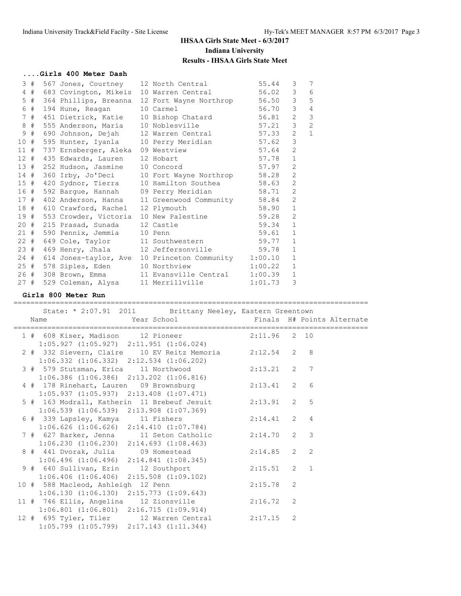#### **....Girls 400 Meter Dash**

| 3#    |                                        | 567 Jones, Courtney 12 North Central                                                                     | 55.44              | 3              | 7              |
|-------|----------------------------------------|----------------------------------------------------------------------------------------------------------|--------------------|----------------|----------------|
|       |                                        | 4 # 683 Covington, Mikeis 10 Warren Central                                                              | 56.02              | $\mathcal{E}$  | 6              |
| $5$ # |                                        | 364 Phillips, Breanna 12 Fort Wayne Northrop                                                             | 56.50              | $\mathcal{E}$  | 5              |
| 6 #   | 194 Hune, Reagan                       | 10 Carmel                                                                                                | 56.70              | $\mathcal{S}$  | $\overline{4}$ |
| 7#    |                                        | 451 Dietrick, Katie 10 Bishop Chatard                                                                    | 56.81              | $\overline{2}$ | 3              |
| $8$ # |                                        | 555 Anderson, Maria 10 Noblesville 57.21                                                                 |                    | $\mathcal{S}$  | $\overline{2}$ |
| 9 #   |                                        | 690 Johnson, Dejah 12 Warren Central 57.33                                                               |                    | 2              | $\mathbf{1}$   |
|       |                                        | 10 # 595 Hunter, Iyanla 10 Perry Meridian 57.62                                                          |                    | $\mathcal{E}$  |                |
|       | 11 # 737 Ernsberger, Aleka 09 Westview |                                                                                                          | 57.64              | 2              |                |
|       | 12 # 435 Edwards, Lauren 12 Hobart     |                                                                                                          | 57.78<br>57.97     | $\mathbf{1}$   |                |
|       | 13 # 252 Hudson, Jasmine 10 Concord    |                                                                                                          |                    | $\overline{2}$ |                |
|       |                                        | 14 # 360 Irby, Jo'Deci 10 Fort Wayne Northrop 58.28<br>15 # 420 Sydnor, Tierra 10 Hamilton Southea 58.63 |                    | 2              |                |
|       |                                        |                                                                                                          |                    | 2              |                |
|       |                                        | 16 # 592 Bargue, Hannah 09 Perry Meridian                                                                | 58.71              | 2              |                |
|       |                                        | 17 # 402 Anderson, Hanna 11 Greenwood Community 58.84                                                    |                    | 2              |                |
|       | 18 # 610 Crawford, Rachel 12 Plymouth  |                                                                                                          | 58.90              | $\mathbf{1}$   |                |
|       |                                        | 19 # 553 Crowder, Victoria 10 New Palestine 59.28                                                        |                    | $\overline{2}$ |                |
|       | 20 # 215 Prasad, Sunada 12 Castle      |                                                                                                          | $59.34$<br>$59.61$ | $\mathbf{1}$   |                |
|       | 21 # 590 Pennix, Jemmia 10 Penn        |                                                                                                          |                    | $\mathbf{1}$   |                |
|       |                                        | 22 # 649 Cole, Taylor 11 Southwestern 59.77                                                              |                    | $\mathbf{1}$   |                |
|       |                                        | 23 # 469 Henry, Jhala 12 Jeffersonville 59.78                                                            |                    | $\mathbf{1}$   |                |
|       |                                        | 24 # 614 Jones-taylor, Ave 10 Princeton Community 1:00.10                                                |                    | $\mathbf{1}$   |                |
|       |                                        | 25 # 578 Siples, Eden 10 Northview                                                                       | 1:00.22            | $\mathbf{1}$   |                |
|       |                                        | 26 # 308 Brown, Emma 11 Evansville Central                                                               | 1:00.39            | $\mathbf{1}$   |                |
|       |                                        | 27 # 529 Coleman, Alysa 11 Merrillville                                                                  | 1:01.73            | 3              |                |

**Girls 800 Meter Run**

==================================================================================== State: \* 2:07.91 2011 Brittany Neeley, Eastern Greentown Name Year School Finals H# Points Alternate ==================================================================================== 1 # 608 Kiser, Madison 12 Pioneer 2:11.96 2 10 1:05.927 (1:05.927) 2:11.951 (1:06.024) 2 # 332 Sievern, Claire 10 EV Reitz Memoria 2:12.54 2 8 1:06.332 (1:06.332) 2:12.534 (1:06.202) 3 # 579 Stutsman, Erica 11 Northwood 2:13.21 2 7 1:06.386 (1:06.386) 2:13.202 (1:06.816) 4 # 178 Rinehart, Lauren 09 Brownsburg 2:13.41 2 6 1:05.937 (1:05.937) 2:13.408 (1:07.471) 5 # 163 Modrall, Katherin 11 Brebeuf Jesuit 2:13.91 2 5 1:06.539 (1:06.539) 2:13.908 (1:07.369) 6 # 339 Lapsley, Kamya 11 Fishers 2:14.41 2 4 1:06.626 (1:06.626) 2:14.410 (1:07.784) 7 # 627 Barker, Jenna 11 Seton Catholic 2:14.70 2 3 1:06.230 (1:06.230) 2:14.693 (1:08.463) 8 # 441 Dvorak, Julia 09 Homestead 2:14.85 2 2 1:06.496 (1:06.496) 2:14.841 (1:08.345) 9 # 640 Sullivan, Erin 12 Southport 2:15.51 2 1 1:06.406 (1:06.406) 2:15.508 (1:09.102) 10 # 588 Macleod, Ashleigh 12 Penn 2:15.78 2 1:06.130 (1:06.130) 2:15.773 (1:09.643) 11 # 746 Ellis, Angelina 12 Zionsville 2:16.72 2 1:06.801 (1:06.801) 2:16.715 (1:09.914) 12 # 695 Tyler, Tiler 12 Warren Central 2:17.15 2 1:05.799 (1:05.799) 2:17.143 (1:11.344)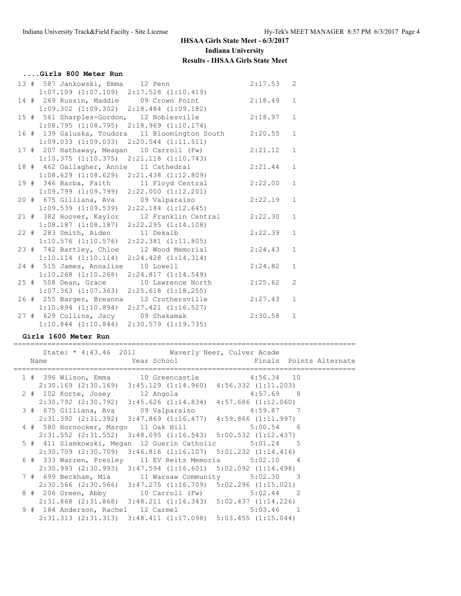=================================================================================

| Girls 800 Meter Run                                                                   |         |              |
|---------------------------------------------------------------------------------------|---------|--------------|
| 13 # 587 Jankowski, Emma 12 Penn                                                      | 2:17.53 | 2            |
| $1:07.109$ $(1:07.109)$ $2:17.528$ $(1:10.419)$                                       |         |              |
| 14 # 269 Russin, Maddie 09 Crown Point 2:18.49                                        |         | $\mathbf{1}$ |
| $1:09.302$ $(1:09.302)$ $2:18.484$ $(1:09.182)$                                       |         |              |
| 15 # 561 Sharples-Gordon, 12 Noblesville                                              | 2:18.97 | $\mathbf{1}$ |
| $1:08.795$ $(1:08.795)$ $2:18.969$ $(1:10.174)$                                       |         |              |
| 16 # 139 Galuska, Toudora 11 Bloomington South                                        | 2:20.55 | $\mathbf{1}$ |
| $1:09.033$ $(1:09.033)$ $2:20.544$ $(1:11.511)$                                       |         |              |
| 17 # 207 Hathaway, Meagan 10 Carroll (Fw) 2:21.12                                     |         | $\mathbf{1}$ |
| $1:10.375$ $(1:10.375)$ $2:21.118$ $(1:10.743)$                                       |         |              |
| 18 # 462 Gallagher, Annie 11 Cathedral                                                | 2:21.44 | $\mathbf{1}$ |
| $1:08.629$ $(1:08.629)$ $2:21.438$ $(1:12.809)$                                       |         |              |
| 19 # 346 Barba, Faith 11 Floyd Central 2:22.00                                        |         | $\mathbf{1}$ |
| $1:09.799$ $(1:09.799)$ $2:22.000$ $(1:12.201)$                                       |         |              |
| 20 # 675 Gilliana, Ava 09 Valparaiso<br>1:09.539 (1:09.539) 2:22.184 (1:12.645)       | 2:22.19 | $\mathbf{1}$ |
|                                                                                       |         |              |
| 21 # 382 Hoover, Kaylor 12 Franklin Central 2:22.30                                   |         | $\mathbf{1}$ |
| $1:08.187$ $(1:08.187)$ $2:22.295$ $(1:14.108)$                                       |         |              |
| 22 # 283 Smith, Aiden 11 Dekalb                                                       | 2:22.39 | $\mathbf{1}$ |
| $1:10.576$ $(1:10.576)$ $2:22.381$ $(1:11.805)$                                       |         |              |
| 23 # 742 Bartley, Chloe 12 Wood Memorial                                              | 2:24.43 | $\mathbf{1}$ |
| $1:10.114$ $(1:10.114)$ $2:24.428$ $(1:14.314)$                                       |         |              |
| 24 # 515 James, Annalise 10 Lowell                                                    | 2:24.82 | $\mathbf{1}$ |
| $1:10.268$ $(1:10.268)$ $2:24.817$ $(1:14.549)$                                       |         |              |
| 25 # 508 Dean, Grace 10 Lawrence North                                                | 2:25.62 | $\mathbf{2}$ |
| $1:07.363$ $(1:07.363)$ $2:25.618$ $(1:18.255)$                                       |         |              |
| 26 # 255 Barger, Breanna<br>12 Crothersville                                          | 2:27.43 | $\mathbf 1$  |
| $1:10.894$ $(1:10.894)$ $2:27.421$ $(1:16.527)$                                       |         | $\mathbf{1}$ |
| 27 # 629 Collins, Jacy 09 Shakamak<br>$1:10.844$ $(1:10.844)$ $2:30.579$ $(1:19.735)$ | 2:30.58 |              |
|                                                                                       |         |              |

### **Girls 1600 Meter Run**

|  | State: * 4:43.46 2011 Waverly Neer, Culver Acade | Name    vear School    George    Vear School    Service    School    Service    School    Service    School    S |  |
|--|--------------------------------------------------|------------------------------------------------------------------------------------------------------------------|--|
|  |                                                  | 1 # 396 Wilson, Emma 10 Greencastle 4:56.34 10                                                                   |  |
|  |                                                  | $2:30.169$ (2:30.169) 3:45.129 (1:14.960) 4:56.332 (1:11.203)                                                    |  |
|  |                                                  | 2 # 102 Korte, Josey 12 Angola 4:57.69 8                                                                         |  |
|  |                                                  | $2:30.792$ (2:30.792) 3:45.626 (1:14.834) 4:57.686 (1:12.060)                                                    |  |
|  |                                                  |                                                                                                                  |  |
|  |                                                  | $2:31.392$ (2:31.392) 3:47.869 (1:16.477) 4:59.866 (1:11.997)                                                    |  |
|  |                                                  | 4 # 580 Hornocker, Margo 11 Oak Hill 5:00.54 6                                                                   |  |
|  |                                                  | $2:31.552$ (2:31.552) 3:48.095 (1:16.543) 5:00.532 (1:12.437)                                                    |  |
|  |                                                  | 5 # 411 Slamkowski, Megan 12 Guerin Catholic 5:01.24 5                                                           |  |
|  |                                                  | $2:30.709$ $(2:30.709)$ $3:46.816$ $(1:16.107)$ $5:01.232$ $(1:14.416)$                                          |  |
|  |                                                  | 6 # 333 Warren, Presley 11 EV Reitz Memoria 5:02.10 4                                                            |  |
|  |                                                  | $2:30.993$ $(2:30.993)$ $3:47.594$ $(1:16.601)$ $5:02.092$ $(1:14.498)$                                          |  |
|  |                                                  | 7 # 699 Beckham, Mia 11 Warsaw Community 5:02.30 3                                                               |  |
|  |                                                  | $2:30.566$ (2:30.566) $3:47.275$ (1:16.709) $5:02.296$ (1:15.021)                                                |  |
|  |                                                  | 8 # 206 Green, Abby 10 Carroll (Fw) 5:02.44 2                                                                    |  |
|  |                                                  | $2:31.868$ $(2:31.868)$ $3:48.211$ $(1:16.343)$ $5:02.437$ $(1:14.226)$                                          |  |
|  |                                                  | 9 # 184 Anderson, Rachel 12 Carmel 5:03.46 1                                                                     |  |
|  |                                                  | $2:31.313$ $(2:31.313)$ $3:48.411$ $(1:17.098)$ $5:03.455$ $(1:15.044)$                                          |  |
|  |                                                  |                                                                                                                  |  |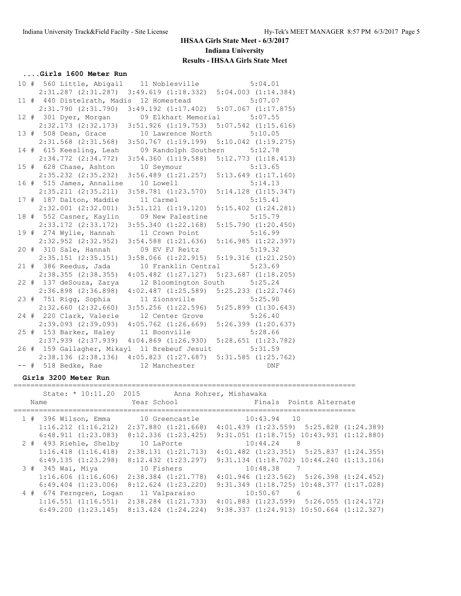### **....Girls 1600 Meter Run**

|        | 10 # 560 Little, Abigail 11 Noblesville                     |                                                 | 5:04.01                 |
|--------|-------------------------------------------------------------|-------------------------------------------------|-------------------------|
|        | 2:31.287 (2:31.287) 3:49.619 (1:18.332) 5:04.003 (1:14.384) |                                                 |                         |
|        | 11 # 440 Distelrath, Madis 12 Homestead                     |                                                 | 5:07.07                 |
|        | 2:31.790(2:31.790)                                          | $3:49.192$ $(1:17.402)$ $5:07.067$ $(1:17.875)$ |                         |
|        | 12 # 301 Dyer, Morgan                                       | 09 Elkhart Memorial 5:07.55                     |                         |
|        | $2:32.173$ $(2:32.173)$                                     | $3:51.926$ $(1:19.753)$                         | $5:07.542$ $(1:15.616)$ |
|        | 13 # 508 Dean, Grace                                        | 10 Lawrence North 5:10.05                       |                         |
|        | $2:31.568$ $(2:31.568)$                                     | $3:50.767$ $(1:19.199)$ $5:10.042$ $(1:19.275)$ |                         |
|        | 14 # 615 Keesling, Leah                                     | 09 Randolph Southern 5:12.78                    |                         |
|        | $2:34.772$ $(2:34.772)$                                     | 3:54.360 (1:19.588) 5:12.773 (1:18.413)         |                         |
|        | 15 # 628 Chase, Ashton                                      | 10 Seymour                                      | 5:13.65                 |
|        | $2:35.232$ $(2:35.232)$                                     | $3:56.489$ $(1:21.257)$                         | $5:13.649$ $(1:17.160)$ |
|        | 16 # 515 James, Annalise                                    | 10 Lowell                                       | 5:14.13                 |
|        | $2:35.211$ $(2:35.211)$                                     | $3:58.781$ $(1:23.570)$                         | $5:14.128$ $(1:15.347)$ |
|        | 17 # 187 Dalton, Maddie                                     | 11 Carmel                                       | 5:15.41                 |
|        | $2:32.001$ $(2:32.001)$                                     | $3:51.121$ $(1:19.120)$                         | $5:15.402$ $(1:24.281)$ |
|        | 18 # 552 Casner, Kaylin                                     | 09 New Palestine                                | 5:15.79                 |
|        | $2:33.172$ $(2:33.172)$                                     | 3:55.340(1:22.168)                              | $5:15.790$ $(1:20.450)$ |
|        | 19 # 274 Wylie, Hannah                                      | 11 Crown Point                                  | 5:16.99                 |
|        | $2:32.952$ $(2:32.952)$                                     | $3:54.588$ $(1:21.636)$                         | 5:16.985(1:22.397)      |
|        | 20 # 310 Sale, Hannah                                       | 09 EV FJ Reitz 5:19.32                          |                         |
|        | $2:35.151$ $(2:35.151)$                                     | 3:58.066 (1:22.915) 5:19.316 (1:21.250)         |                         |
|        | 21 # 386 Reedus, Jada                                       | 10 Franklin Central 5:23.69                     |                         |
|        | $2:38.355$ $(2:38.355)$                                     | $4:05.482$ $(1:27.127)$                         | $5:23.687$ $(1:18.205)$ |
|        | 22 # 137 deSouza, Zarya                                     | 12 Bloomington South                            | 5:25.24                 |
|        | $2:36.898$ $(2:36.898)$                                     | $4:02.487$ $(1:25.589)$                         | $5:25.233$ $(1:22.746)$ |
|        | 23 # 751 Rigg, Sophia                                       | 11 Zionsville                                   | 5:25.90                 |
|        | $2:32.660$ $(2:32.660)$                                     | $3:55.256$ $(1:22.596)$                         | $5:25.899$ $(1:30.643)$ |
|        | 24 # 220 Clark, Valerie                                     | 12 Center Grove                                 | 5:26.40                 |
|        | $2:39.093$ $(2:39.093)$                                     | $4:05.762$ $(1:26.669)$                         | 5:26.399 (1:20.637)     |
|        | 25 # 153 Barker, Haley                                      | 11 Boonville                                    | 5:28.66                 |
|        | $2:37.939$ $(2:37.939)$                                     | $4:04.869$ $(1:26.930)$                         | $5:28.651$ $(1:23.782)$ |
|        | 26 # 159 Gallagher, Mikayl 11 Brebeuf Jesuit 5:31.59        |                                                 |                         |
|        | $2:38.136$ $(2:38.136)$                                     | 4:05.823(1:27.687)                              | $5:31.585$ $(1:25.762)$ |
| $--$ # | 518 Bedke, Rae                                              | 12 Manchester                                   | <b>DNF</b>              |

### **Girls 3200 Meter Run**

|  | State: * 10:11.20 2015                          |                         | Anna Rohrer, Mishawaka                           |
|--|-------------------------------------------------|-------------------------|--------------------------------------------------|
|  | Name                                            | Year School             | Finals Points Alternate                          |
|  |                                                 |                         |                                                  |
|  | 1 # 396 Wilson, Emma                            | 10 Greencastle          | $10:43.94$ 10                                    |
|  | $1:16.212$ $(1:16.212)$                         | $2:37.880$ $(1:21.668)$ | $4:01.439$ $(1:23.559)$ $5:25.828$ $(1:24.389)$  |
|  | $6:48.911$ $(1:23.083)$                         | $8:12.336$ $(1:23.425)$ | $9:31.051$ $(1:18.715)$ $10:43.931$ $(1:12.880)$ |
|  | 2 # 493 Riehle, Shelby                          | 10 LaPorte              | 10:44.24<br>- 8                                  |
|  | $1:16.418$ $(1:16.418)$                         | 2:38.131(1:21.713)      | $4:01.482$ $(1:23.351)$ $5:25.837$ $(1:24.355)$  |
|  | 6:49.135(1:23.298)                              | $8:12.432$ $(1:23.297)$ | $9:31.134$ $(1:18.702)$ $10:44.240$ $(1:13.106)$ |
|  | $3$ # $345$ Wai, Miya                           | 10 Fishers              | 10:48.38<br>7                                    |
|  | 1:16.606(1:16.606)                              | $2:38.384$ $(1:21.778)$ | $4:01.946$ $(1:23.562)$ $5:26.398$ $(1:24.452)$  |
|  | $6:49.404$ $(1:23.006)$                         | $8:12.624$ $(1:23.220)$ | $9:31.349$ $(1:18.725)$ $10:48.377$ $(1:17.028)$ |
|  | 4 # 674 Ferngren, Logan                         | 11 Valparaiso           | $10:50.67$ 6                                     |
|  | $1:16.551$ $(1:16.551)$                         | $2:38.284$ $(1:21.733)$ | $4:01.883$ $(1:23.599)$ $5:26.055$ $(1:24.172)$  |
|  | $6:49.200$ $(1:23.145)$ $8:13.424$ $(1:24.224)$ |                         | $9:38.337$ $(1:24.913)$ $10:50.664$ $(1:12.327)$ |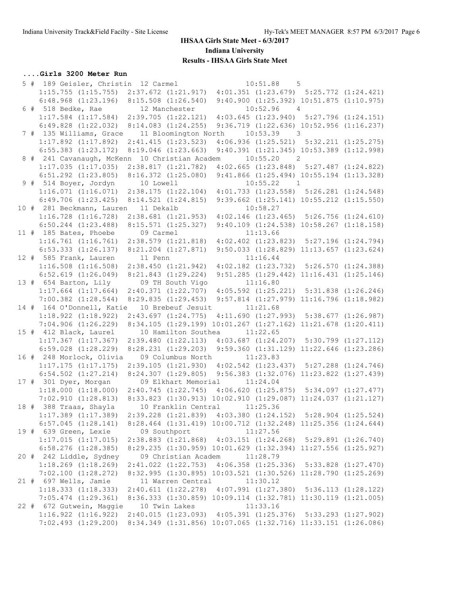### **IHSAA Girls State Meet - 6/3/2017 Indiana University**

**Results - IHSAA Girls State Meet**

# **....Girls 3200 Meter Run**

|  | 5 # 189 Geisler, Christin 12 Carmel                                                               |                                                               | $10:51.88$ 5                                                                                |  |
|--|---------------------------------------------------------------------------------------------------|---------------------------------------------------------------|---------------------------------------------------------------------------------------------|--|
|  | 1:15.755 (1:15.755) 2:37.672 (1:21.917) 4:01.351 (1:23.679) 5:25.772 (1:24.421)                   |                                                               |                                                                                             |  |
|  | $6:48.968$ $(1:23.196)$ $8:15.508$ $(1:26.540)$                                                   |                                                               | $9:40.900$ $(1:25.392)$ $10:51.875$ $(1:10.975)$                                            |  |
|  | 6 # 518 Bedke, Rae 12 Manchester                                                                  |                                                               | $10:52.96$ 4                                                                                |  |
|  | $1:17.584$ $(1:17.584)$ $2:39.705$ $(1:22.121)$                                                   |                                                               | $4:03.645$ $(1:23.940)$ $5:27.796$ $(1:24.151)$                                             |  |
|  | $6:49.828$ $(1:22.032)$                                                                           | $8:14.083$ $(1:24.255)$                                       | 9:36.719 (1:22.636) 10:52.956 (1:16.237)                                                    |  |
|  | 7 # 135 Williams, Grace                                                                           | 11 Bloomington North                                          | 10:53.39<br>$\overline{\phantom{a}}$                                                        |  |
|  | $1:17.892$ $(1:17.892)$<br>$6:55.383$ $(1:23.172)$                                                | $2:41.415$ $(1:23.523)$<br>$8:19.046$ $(1:23.663)$            | $4:06.936$ $(1:25.521)$ $5:32.211$ $(1:25.275)$<br>9:40.391 (1:21.345) 10:53.389 (1:12.998) |  |
|  | 8 # 241 Cavanaugh, McKenn 10 Christian Academ 10:55.20 2                                          |                                                               |                                                                                             |  |
|  | $1:17.035$ $(1:17.035)$                                                                           | 2:38.817(1:21.782)                                            | $4:02.665$ $(1:23.848)$ $5:27.487$ $(1:24.822)$                                             |  |
|  | $6:51.292$ $(1:23.805)$                                                                           | 8:16.372(1:25.080)                                            | $9:41.866$ $(1:25.494)$ $10:55.194$ $(1:13.328)$                                            |  |
|  | 9 # 514 Boyer, Jordyn                                                                             | 10 Lowell                                                     | $10:55.22$ 1                                                                                |  |
|  | 1:16.071(1:16.071)                                                                                | 2:38.175(1:22.104)                                            | $4:01.733$ $(1:23.558)$ $5:26.281$ $(1:24.548)$                                             |  |
|  | $6:49.706$ $(1:23.425)$                                                                           | 8:14.521(1:24.815)                                            | $9:39.662$ $(1:25.141)$ $10:55.212$ $(1:15.550)$                                            |  |
|  | 10 # 281 Beckmann, Lauren 11 Dekalb                                                               |                                                               | 10:58.27                                                                                    |  |
|  | $1:16.728$ $(1:16.728)$                                                                           | $2:38.681$ $(1:21.953)$                                       | $4:02.146$ $(1:23.465)$ $5:26.756$ $(1:24.610)$                                             |  |
|  | $6:50.244$ $(1:23.488)$                                                                           | 8:15.571(1:25.327)                                            | $9:40.109$ $(1:24.538)$ $10:58.267$ $(1:18.158)$                                            |  |
|  | 11 # 185 Bates, Phoebe                                                                            | 09 Carmel                                                     | 11:13.66                                                                                    |  |
|  | $1:16.761$ $(1:16.761)$                                                                           | $2:38.579$ $(1:21.818)$                                       | $4:02.402$ $(1:23.823)$ $5:27.196$ $(1:24.794)$                                             |  |
|  | $6:53.333$ $(1:26.137)$                                                                           | $8:21.204$ $(1:27.871)$                                       | $9:50.033$ $(1:28.829)$ $11:13.657$ $(1:23.624)$                                            |  |
|  | 12 # 585 Frank, Lauren<br>$1:16.508$ $(1:16.508)$                                                 | 11 Penn<br>2:38.450(1:21.942)                                 | 11:16.44<br>$4:02.182$ $(1:23.732)$ $5:26.570$ $(1:24.388)$                                 |  |
|  | $6:52.619$ $(1:26.049)$                                                                           | $8:21.843$ $(1:29.224)$                                       | $9:51.285$ $(1:29.442)$ $11:16.431$ $(1:25.146)$                                            |  |
|  | 13 # 654 Barton, Lily                                                                             | 09 TH South Vigo                                              | 11:16.80                                                                                    |  |
|  | $1:17.664$ $(1:17.664)$                                                                           | 2:40.371(1:22.707)                                            | $4:05.592$ $(1:25.221)$ $5:31.838$ $(1:26.246)$                                             |  |
|  | $7:00.382$ $(1:28.544)$                                                                           | 8:29.835(1:29.453)                                            | $9:57.814$ $(1:27.979)$ $11:16.796$ $(1:18.982)$                                            |  |
|  | 14 # 164 O'Donnell, Katie 10 Brebeuf Jesuit 11:21.68                                              |                                                               |                                                                                             |  |
|  | $1:18.922$ $(1:18.922)$                                                                           |                                                               | 2:43.697 (1:24.775) 4:11.690 (1:27.993) 5:38.677 (1:26.987)                                 |  |
|  | 7:04.906(1:26.229)                                                                                |                                                               | 8:34.105 (1:29.199) 10:01.267 (1:27.162) 11:21.678 (1:20.411)                               |  |
|  | 15 # 412 Black, Laurel                                                                            | 10 Hamilton Southea                                           | 11:22.65                                                                                    |  |
|  | $1:17.367$ $(1:17.367)$                                                                           |                                                               | 2:39.480 (1:22.113) 4:03.687 (1:24.207) 5:30.799 (1:27.112)                                 |  |
|  | $6:59.028$ $(1:28.229)$                                                                           |                                                               | 8:28.231 (1:29.203) 9:59.360 (1:31.129) 11:22.646 (1:23.286)                                |  |
|  | 16 # 248 Morlock, Olivia 09 Columbus North 11:23.83<br>$1:17.175$ $(1:17.175)$                    |                                                               | 2:39.105 (1:21.930) 4:02.542 (1:23.437) 5:27.288 (1:24.746)                                 |  |
|  | $6:54.502$ $(1:27.214)$                                                                           |                                                               | 8:24.307 (1:29.805) 9:56.383 (1:32.076) 11:23.822 (1:27.439)                                |  |
|  | 17 # 301 Dyer, Morgan                                                                             | 09 Elkhart Memorial 11:24.04                                  |                                                                                             |  |
|  | 1:18.000(1:18.000)                                                                                | 2:40.745 (1:22.745) 4:06.620 (1:25.875) 5:34.097 (1:27.477)   |                                                                                             |  |
|  | 7:02.910(1:28.813)                                                                                | 8:33.823 (1:30.913) 10:02.910 (1:29.087) 11:24.037 (1:21.127) |                                                                                             |  |
|  | 18 # 388 Traas, Shayla                                                                            | 10 Franklin Central 11:25.36                                  |                                                                                             |  |
|  | $1:17.389$ $(1:17.389)$ $2:39.228$ $(1:21.839)$ $4:03.380$ $(1:24.152)$ $5:28.904$ $(1:25.524)$   |                                                               |                                                                                             |  |
|  | $6:57.045$ $(1:28.141)$ $8:28.464$ $(1:31.419)$ $10:00.712$ $(1:32.248)$ $11:25.356$ $(1:24.644)$ |                                                               |                                                                                             |  |
|  | 19 # 639 Green, Lexie                                                                             | 09 Southport                                                  | 11:27.56                                                                                    |  |
|  | 1:17.015(1:17.015)                                                                                |                                                               | 2:38.883 (1:21.868) 4:03.151 (1:24.268) 5:29.891 (1:26.740)                                 |  |
|  | $6:58.276$ $(1:28.385)$                                                                           | 8:29.235 (1:30.959) 10:01.629 (1:32.394) 11:27.556 (1:25.927) |                                                                                             |  |
|  | 20 # 242 Liddle, Sydney                                                                           | 09 Christian Academ 11:28.79                                  |                                                                                             |  |
|  | $1:18.269$ $(1:18.269)$                                                                           |                                                               | 2:41.022 (1:22.753) 4:06.358 (1:25.336) 5:33.828 (1:27.470)                                 |  |
|  | $7:02.100$ $(1:28.272)$<br>21 # 697 Wells, Jamie                                                  | 11 Warren Central                                             | 8:32.995 (1:30.895) 10:03.521 (1:30.526) 11:28.790 (1:25.269)<br>11:30.12                   |  |
|  | 1:18.333(1:18.333)                                                                                |                                                               | $2:40.611$ $(1:22.278)$ $4:07.991$ $(1:27.380)$ $5:36.113$ $(1:28.122)$                     |  |
|  | $7:05.474$ $(1:29.361)$                                                                           |                                                               | 8:36.333 (1:30.859) 10:09.114 (1:32.781) 11:30.119 (1:21.005)                               |  |
|  | 22 # 672 Gutwein, Maggie                                                                          | 10 Twin Lakes                                                 | 11:33.16                                                                                    |  |
|  | $1:16.922$ $(1:16.922)$ $2:40.015$ $(1:23.093)$ $4:05.391$ $(1:25.376)$ $5:33.293$ $(1:27.902)$   |                                                               |                                                                                             |  |
|  | 7:02.493 (1:29.200) 8:34.349 (1:31.856) 10:07.065 (1:32.716) 11:33.151 (1:26.086)                 |                                                               |                                                                                             |  |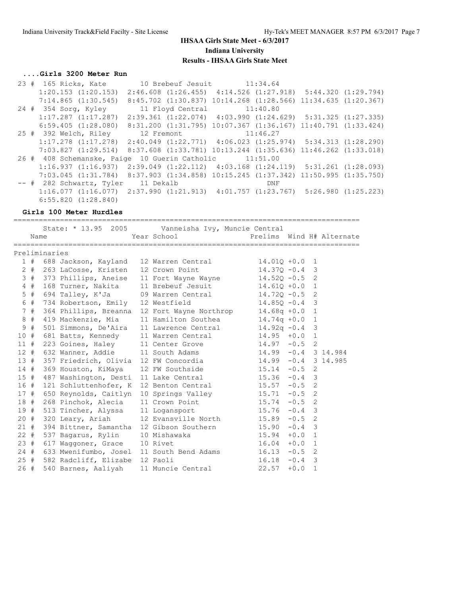# **....Girls 3200 Meter Run**

|  | 23 # 165 Ricks, Kate                                                                              | 10 Brebeuf Jesuit 11:34.64                                                |     |  |
|--|---------------------------------------------------------------------------------------------------|---------------------------------------------------------------------------|-----|--|
|  | $1:20.153$ $(1:20.153)$                                                                           | $2:46.608$ $(1:26.455)$ $4:14.526$ $(1:27.918)$ $5:44.320$ $(1:29.794)$   |     |  |
|  | 7:14.865(1:30.545)                                                                                | 8:45.702 (1:30.837) 10:14.268 (1:28.566) 11:34.635 (1:20.367)             |     |  |
|  | 24 # 354 Sorg, Kyley                                                                              | 11 Floyd Central 11:40.80                                                 |     |  |
|  | $1:17.287$ $(1:17.287)$                                                                           | 2:39.361 (1:22.074) 4:03.990 (1:24.629) 5:31.325 (1:27.335)               |     |  |
|  | $6:59.405$ $(1:28.080)$ $8:31.200$ $(1:31.795)$ $10:07.367$ $(1:36.167)$ $11:40.791$ $(1:33.424)$ |                                                                           |     |  |
|  | 25 # 392 Welch, Riley 12 Fremont 11:46.27                                                         |                                                                           |     |  |
|  | $1:17.278$ $(1:17.278)$ $2:40.049$ $(1:22.771)$ $4:06.023$ $(1:25.974)$ $5:34.313$ $(1:28.290)$   |                                                                           |     |  |
|  | 7:03.827(1:29.514)                                                                                | $8:37.608$ $(1:33.781)$ $10:13.244$ $(1:35.636)$ $11:46.262$ $(1:33.018)$ |     |  |
|  | 26 # 408 Schemanske, Paige 10 Guerin Catholic 11:51.00                                            |                                                                           |     |  |
|  | 1:16.937(1:16.937)                                                                                | $2:39.049$ $(1:22.112)$ $4:03.168$ $(1:24.119)$ $5:31.261$ $(1:28.093)$   |     |  |
|  | 7:03.045 (1:31.784) 8:37.903 (1:34.858) 10:15.245 (1:37.342) 11:50.995 (1:35.750)                 |                                                                           |     |  |
|  | -- # 282 Schwartz, Tyler 11 Dekalb                                                                |                                                                           | DNF |  |
|  | $1:16.077$ $(1:16.077)$ $2:37.990$ $(1:21.913)$ $4:01.757$ $(1:23.767)$ $5:26.980$ $(1:25.223)$   |                                                                           |     |  |
|  | $6:55.820$ $(1:28.840)$                                                                           |                                                                           |     |  |

**Girls 100 Meter Hurdles**

|        | Name  |               | State: * 13.95 2005 Vanneisha Ivy, Muncie Central          | Year School States              | Prelims Wind H# Alternate |          |                |  |
|--------|-------|---------------|------------------------------------------------------------|---------------------------------|---------------------------|----------|----------------|--|
|        |       | Preliminaries |                                                            |                                 |                           |          |                |  |
|        | 1#    |               | 688 Jackson, Kayland 12 Warren Central 14.010 +0.0         |                                 |                           |          | 1              |  |
|        |       |               | 2 # 263 LaCosse, Kristen 12 Crown Point                    |                                 | $14.37Q - 0.4$ 3          |          |                |  |
|        |       |               | 3 # 373 Phillips, Aneise 11 Fort Wayne Wayne 14.52Q -0.5 2 |                                 |                           |          |                |  |
|        | 4#    |               | 168 Turner, Nakita                                         | 11 Brebeuf Jesuit 14.610 +0.0   |                           |          | $\mathbf{1}$   |  |
|        | $5$ # |               | 694 Talley, K'Ja $09$ Warren Central $14.72Q - 0.5$        |                                 |                           |          | 2              |  |
|        | 6 #   |               | 734 Robertson, Emily 12 Westfield                          |                                 | $14.85Q - 0.4$ 3          |          |                |  |
|        | 7#    |               | 364 Phillips, Breanna 12 Fort Wayne Northrop 14.68q +0.0 1 |                                 |                           |          |                |  |
|        | 8#    |               | 419 Mackenzie, Mia                                         | 11 Hamilton Southea 14.74q +0.0 |                           |          | $\mathbf{1}$   |  |
| 9      | #     |               | 501 Simmons, De'Aira 11 Lawrence Central 14.92q -0.4 3     |                                 |                           |          |                |  |
| 10#    |       |               | 681 Batts, Kennedy 11 Warren Central 14.95 +0.0 1          |                                 |                           |          |                |  |
| 11#    |       |               | 223 Goines, Haley 11 Center Grove 14.97 -0.5 2             |                                 |                           |          |                |  |
|        |       |               | 12 # 632 Wanner, Addie 11 South Adams 14.99 -0.4 3 14.984  |                                 |                           |          |                |  |
|        | 13#   |               | 357 Friedrich, Olivia 12 FW Concordia 14.99 -0.4 3 14.985  |                                 |                           |          |                |  |
| 14#    |       |               | 369 Houston, KiMaya                                        | 12 FW Southside 15.14 -0.5      |                           |          | 2              |  |
|        | 15#   |               | 487 Washington, Desti 11 Lake Central 15.36 -0.4 3         |                                 |                           |          |                |  |
| 16#    |       |               | 121 Schluttenhofer, K 12 Benton Central 15.57 -0.5 2       |                                 |                           |          |                |  |
| 17#    |       |               | 650 Reynolds, Caitlyn 10 Springs Valley 15.71 -0.5 2       |                                 |                           |          |                |  |
| 18#    |       |               | 268 Pinchok, Alecia                                        | 11 Crown Point 15.74 - 0.5      |                           |          | $\overline{c}$ |  |
| 19#    |       |               | 513 Tincher, Alyssa 11 Logansport 15.76 -0.4               |                                 |                           |          | 3              |  |
| 20#    |       |               | 320 Leary, Ariah 12 Evansville North 15.89 -0.5 2          |                                 |                           |          |                |  |
| 21#    |       |               | 394 Bittner, Samantha 12 Gibson Southern 15.90             |                                 |                           | $-0.4$ 3 |                |  |
| $22 +$ |       |               | 537 Bagarus, Rylin 10 Mishawaka                            |                                 | 15.94                     | $+0.0$ 1 |                |  |
| 23#    |       |               | 617 Waggoner, Grace 10 Rivet                               |                                 | 16.04                     | $+0.0$   | $\mathbf{1}$   |  |
| 24#    |       |               | 633 Mwenifumbo, Josel 11 South Bend Adams 16.13            |                                 |                           | $-0.5$   | $\overline{2}$ |  |
|        |       |               | 25 # 582 Radcliff, Elizabe 12 Paoli                        |                                 | 16.18                     | $-0.4$ 3 |                |  |
| 26 #   |       |               | 540 Barnes, Aaliyah                                        | 11 Muncie Central               | 22.57                     | $+0.0$   | $\mathbf{1}$   |  |
|        |       |               |                                                            |                                 |                           |          |                |  |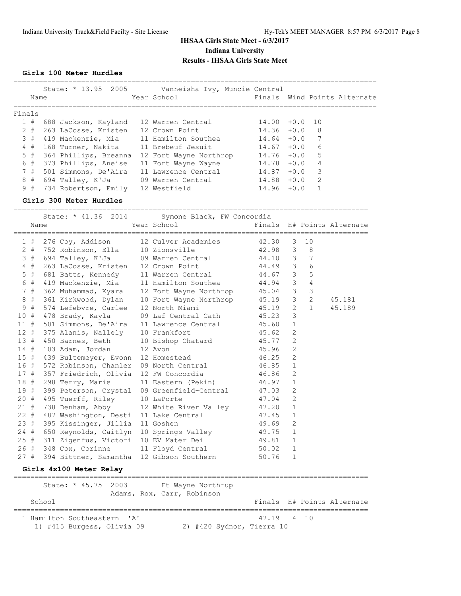**Girls 100 Meter Hurdles**

|        | Name                                         | State: * 13.95 2005 Vanneisha Ivy, Muncie Central<br>Year School |                 |                |              | Finals Wind Points Alternate |
|--------|----------------------------------------------|------------------------------------------------------------------|-----------------|----------------|--------------|------------------------------|
|        |                                              |                                                                  |                 |                |              |                              |
| Finals | 1 # 688 Jackson, Kayland                     | 12 Warren Central                                                | $14.00 + 0.0$   |                | 10           |                              |
|        | 2 # 263 LaCosse, Kristen                     | 12 Crown Point                                                   | $14.36 + 0.0$   |                | 8            |                              |
|        | 3 # 419 Mackenzie, Mia                       | 11 Hamilton Southea                                              | $14.64$ $+0.0$  |                | 7            |                              |
|        | 4 # 168 Turner, Nakita                       | 11 Brebeuf Jesuit                                                | 14.67           |                | $+0.0$<br>6  |                              |
| $5$ #  |                                              | 364 Phillips, Breanna 12 Fort Wayne Northrop                     | $14.76 + 0.0$   |                | 5            |                              |
| 6 #    | 373 Phillips, Aneise                         | 11 Fort Wayne Wayne                                              | $14.78 + 0.0$ 4 |                |              |                              |
| 7#     | 501 Simmons, De'Aira                         | 11 Lawrence Central                                              | $14.87 + 0.0$   |                | 3            |                              |
| 8#     | 694 Talley, K'Ja                             | 09 Warren Central                                                | $14.88 + 0.0$   |                | 2            |                              |
| 9#     | 734 Robertson, Emily                         | 12 Westfield                                                     | $14.96 + 0.0$   |                | 1            |                              |
|        | Girls 300 Meter Hurdles                      |                                                                  |                 |                |              |                              |
|        |                                              |                                                                  |                 |                |              |                              |
|        |                                              | State: * 41.36 2014 Symone Black, FW Concordia                   |                 |                |              |                              |
| Name   |                                              | Year School                                                      |                 |                |              | Finals H# Points Alternate   |
| 1#     | 276 Coy, Addison                             | 12 Culver Academies                                              | 42.30           | 3              | 10           |                              |
|        | 2 # 752 Robinson, Ella 10 Zionsville         |                                                                  | 42.98           | 3              | 8            |                              |
|        | 3 # 694 Talley, K'Ja                         | 09 Warren Central                                                | 44.10           | 3              | 7            |                              |
| $4$ #  | 263 LaCosse, Kristen                         | 12 Crown Point                                                   | 44.49           | 3              | 6            |                              |
| $5$ #  | 681 Batts, Kennedy                           | 11 Warren Central                                                | 44.67           | 3              | 5            |                              |
| 6#     | 419 Mackenzie, Mia                           | 11 Hamilton Southea                                              | 44.94           | 3              | 4            |                              |
| 7#     | 362 Muhammad, Kyara                          | 12 Fort Wayne Northrop                                           | 45.04           | 3              | 3            |                              |
| 8 #    | 361 Kirkwood, Dylan                          | 10 Fort Wayne Northrop                                           | 45.19           | 3              | 2            | 45.181                       |
| 9#     | 574 Lefebvre, Carlee                         | 12 North Miami                                                   | 45.19           | 2              | $\mathbf{1}$ | 45.189                       |
| 10#    | 478 Brady, Kayla                             | 09 Laf Central Cath                                              | 45.23           | 3              |              |                              |
| 11#    | 501 Simmons, De'Aira                         | 11 Lawrence Central                                              | 45.60           | 1              |              |                              |
| 12#    | 375 Alanis, Nallely                          | 10 Frankfort                                                     | 45.62           | 2              |              |                              |
| 13#    | 450 Barnes, Beth                             | 10 Bishop Chatard                                                | 45.77           | 2              |              |                              |
| 14#    | 103 Adam, Jordan                             | 12 Avon                                                          | 45.96           | $\overline{2}$ |              |                              |
|        | 15 # 439 Bultemeyer, Evonn 12 Homestead      |                                                                  | 46.25           | $\overline{2}$ |              |                              |
| 16 #   | 572 Robinson, Chanler                        | 09 North Central                                                 | 46.85           | $\mathbf{1}$   |              |                              |
| 17 #   | 357 Friedrich, Olivia 12 FW Concordia        |                                                                  | 46.86           | 2              |              |                              |
|        | 18 # 298 Terry, Marie                        | 11 Eastern (Pekin)                                               | 46.97           | 1              |              |                              |
|        |                                              | 19 # 399 Peterson, Crystal 09 Greenfield-Central 47.03           |                 | 2              |              |                              |
|        | 20 # 495 Tuerff, Riley 10 LaPorte            |                                                                  | 47.04           | 2              |              |                              |
| 21#    |                                              | 738 Denham, Abby 12 White River Valley                           | 47.20           | $\mathbf{1}$   |              |                              |
|        |                                              | 22 # 487 Washington, Desti 11 Lake Central                       | 47.45 1         |                |              |                              |
| 23 #   | 395 Kissinger, Jillia 11 Goshen              |                                                                  | 49.69           | 2              |              |                              |
|        | 24 # 650 Reynolds, Caitlyn 10 Springs Valley |                                                                  | 49.75           | 1              |              |                              |
|        | 25 # 311 Zigenfus, Victori 10 EV Mater Dei   |                                                                  | 49.81           | 1              |              |                              |
|        | 26 # 348 Cox, Corinne                        | 11 Floyd Central                                                 | 50.02           | 1              |              |                              |
| 27 #   | 394 Bittner, Samantha 12 Gibson Southern     |                                                                  | 50.76           | 1              |              |                              |
|        | Girls 4x100 Meter Relay                      |                                                                  |                 |                |              |                              |
|        | State: * 45.75 2003                          | Ft Wayne Northrup                                                |                 |                |              |                              |
|        | School                                       | Adams, Rox, Carr, Robinson                                       |                 |                |              | Finals H# Points Alternate   |
|        |                                              |                                                                  |                 |                |              |                              |
|        |                                              |                                                                  | =======         |                |              |                              |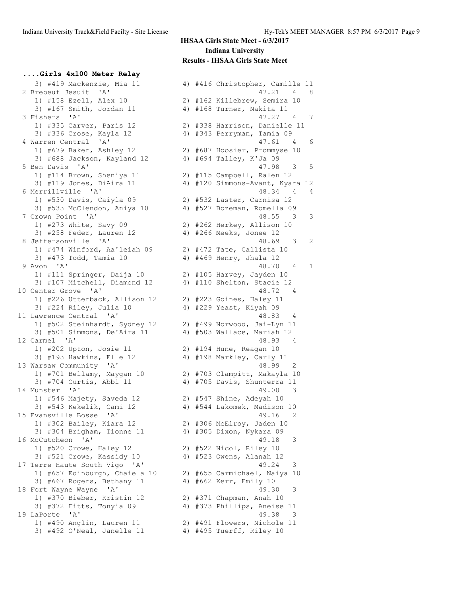**....Girls 4x100 Meter Relay** 3) #419 Mackenzie, Mia 11 4) #416 Christopher, Camille 11<br>3) #419 Mackenzie, Mia 11 4 416 Christopher, Camille 11 1) #158 Ezell, Alex 10 2) #162 Killebrew, Semira 10 3) #167 Smith, Jordan 11 4) #168 Turner, Nakita 11 1) #335 Carver, Paris 12 2) #338 Harrison, Danielle 11 3) #336 Crose, Kayla 12 4) #343 Perryman, Tamia 09 1) #679 Baker, Ashley 12 2) #687 Hoosier, Prommyse 10 3) #688 Jackson, Kayland 12 4) #694 Talley, K'Ja 09 1) #114 Brown, Sheniya 11 2) #115 Campbell, Ralen 12 1) #530 Davis, Caiyla 09 2) #532 Laster, Carnisa 12 3) #533 McClendon, Aniya 10 4) #527 Bozeman, Romella 09 1) #273 White, Savy 09 2) #262 Herkey, Allison 10 3) #258 Feder, Lauren 12 4) #266 Meeks, Jonee 12 1) #474 Winford, Aa'leiah 09 2) #472 Tate, Callista 10 3) #473 Todd, Tamia 10 4) #469 Henry, Jhala 12 1) #111 Springer, Daija 10 2) #105 Harvey, Jayden 10 3) #107 Mitchell, Diamond 12 4) #110 Shelton, Stacie 12 10 Center Grove 'A' 48.72 4 1) #226 Utterback, Allison 12 2) #223 Goines, Haley 11 3) #224 Riley, Julia 10 4) #229 Yeast, Kiyah 09 11 Lawrence Central 'A' 48.83 4 1) #502 Steinhardt, Sydney 12 2) #499 Norwood, Jai-Lyn 11 3) #501 Simmons, De'Aira 11 4) #503 Wallace, Mariah 12 12 Carmel 'A' 48.93 4 1) #202 Upton, Josie 11 2) #194 Hune, Reagan 10 3) #193 Hawkins, Elle 12 4) #198 Markley, Carly 11 13 Warsaw Community 'A' 1888 1991 12 1) #701 Bellamy, Maygan 10 2) #703 Clampitt, Makayla 10 3) #704 Curtis, Abbi 11 4) #705 Davis, Shunterra 11 14 Munster 'A' 49.00 3 1) #546 Majety, Saveda 12 2) #547 Shine, Adeyah 10 3) #543 Kekelik, Cami 12 4) #544 Lakomek, Madison 10 15 Evansville Bosse 'A' 49.16 2 1) #302 Bailey, Kiara 12 2) #306 McElroy, Jaden 10 3) #304 Brigham, Tionne 11 4) #305 Dixon, Nykara 09 16 McCutcheon 'A' 49.18 3 1) #520 Crowe, Haley 12 2) #522 Nicol, Riley 10 3) #521 Crowe, Kassidy 10 4) #523 Owens, Alanah 12 17 Terre Haute South Vigo 'A' 49.24 3 1) #657 Edinburgh, Chaiela 10 2) #655 Carmichael, Naiya 10 3) #667 Rogers, Bethany 11 4) #662 Kerr, Emily 10 18 Fort Wayne Wayne 'A' 49.30 3 1) #370 Bieber, Kristin 12 2) #371 Chapman, Anah 10 3) #372 Fitts, Tonyia 09 4) #373 Phillips, Aneise 11 19 LaPorte 'A' 49.38 3 1) #490 Anglin, Lauren 11 2) #491 Flowers, Nichole 11 3) #492 O'Neal, Janelle 11 4) #495 Tuerff, Riley 10

 2 Brebeuf Jesuit 'A' 47.21 4 8 3 Fishers 'A' 47.27 4 7 4 Warren Central 'A' 47.61 4 6 5 Ben Davis 'A' 47.98 3 5 3) #119 Jones, DiAira 11 4) #120 Simmons-Avant, Kyara 12 6 Merrillville 'A' 48.34 4 4 7 Crown Point 'A' 48.55 3 3 8 Jeffersonville 'A' 48.69 3 2 9 Avon 'A' 48.70 4 1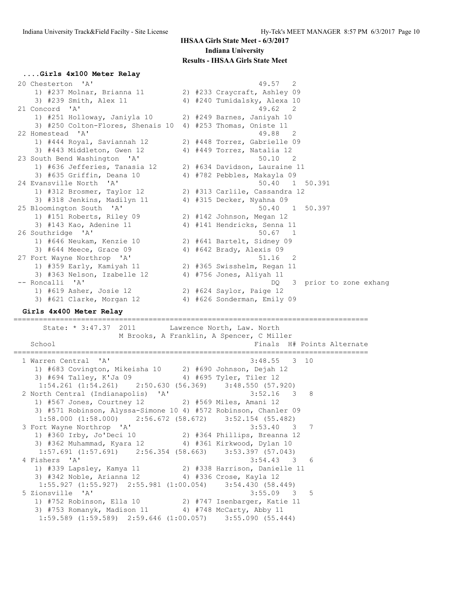# **....Girls 4x100 Meter Relay**

| 20 Chesterton 'A'                                           | 49.57 2                       |
|-------------------------------------------------------------|-------------------------------|
| 1) #237 Molnar, Brianna 11                                  | 2) #233 Craycraft, Ashley 09  |
| 3) #239 Smith, Alex 11                                      | 4) #240 Tumidalsky, Alexa 10  |
| 21 Concord 'A'                                              | 49.62 2                       |
| 1) #251 Holloway, Janiyla 10 2) #249 Barnes, Janiyah 10     |                               |
| 3) #250 Colton-Flores, Shenais 10 4) #253 Thomas, Oniste 11 |                               |
| 22 Homestead 'A'                                            | 49.88 2                       |
| 1) #444 Royal, Saviannah 12                                 | 2) #448 Torrez, Gabrielle 09  |
| 3) #443 Middleton, Gwen 12                                  | 4) #449 Torrez, Natalia 12    |
| 23 South Bend Washington 'A'                                | $50.10$ 2                     |
| 1) #636 Jefferies, Tanasia 12                               | 2) #634 Davidson, Lauraine 11 |
| 3) #635 Griffin, Deana 10                                   | 4) #782 Pebbles, Makayla 09   |
| 24 Evansville North<br>$\mathsf{A}$                         | 50.40 1 50.391                |
| 1) #312 Brosmer, Taylor 12                                  | 2) #313 Carlile, Cassandra 12 |
| 3) #318 Jenkins, Madilyn 11                                 | 4) #315 Decker, Nyahna 09     |
| 25 Bloomington South 'A'                                    | 50.40 1 50.397                |
| 1) #151 Roberts, Riley 09                                   | 2) #142 Johnson, Megan 12     |
| 3) #143 Kao, Adenine 11                                     | 4) #141 Hendricks, Senna 11   |
| 26 Southridge 'A'                                           | $50.67$ 1                     |
| 1) #646 Neukam, Kenzie 10                                   | 2) #641 Bartelt, Sidney 09    |
| 3) #644 Meece, Grace 09                                     | 4) #642 Brady, Alexis 09      |
| 27 Fort Wayne Northrop 'A'                                  | 51.16 2                       |
| 1) #359 Early, Kamiyah 11                                   | 2) #365 Swisshelm, Regan 11   |
| 3) #363 Nelson, Izabelle 12                                 | 4) #756 Jones, Aliyah 11      |
| -- Roncalli 'A'                                             | 3 prior to zone exhang<br>DQ. |
| 1) #619 Asher, Josie 12                                     | 2) #624 Saylor, Paige 12      |
| 3) #621 Clarke, Morgan 12                                   | 4) #626 Sonderman, Emily 09   |

#### **Girls 4x400 Meter Relay**

State: \* 3:47.37 2011 Lawrence North, Law. North M Brooks, A Franklin, A Spencer, C Miller School **Finals H**# Points Alternate ==================================================================================== 1 Warren Central 'A' 1) #683 Covington, Mikeisha 10 2) #690 Johnson, Dejah 12 3) #694 Talley, K'Ja 09 4) #695 Tyler, Tiler 12 1:54.261 (1:54.261) 2:50.630 (56.369) 3:48.550 (57.920) 2 North Central (Indianapolis) 'A' 3:52.16 3 8 1) #567 Jones, Courtney 12 2) #569 Miles, Amani 12 3) #571 Robinson, Alyssa-Simone 10 4) #572 Robinson, Chanler 09 1:58.000 (1:58.000) 2:56.672 (58.672) 3:52.154 (55.482)<br>3 Fort Wayne Northrop 'A' 3:53.40 3 3 Fort Wayne Northrop 'A' 3:53.40 3 7 1) #360 Irby, Jo'Deci 10 2) #364 Phillips, Breanna 12 3) #362 Muhammad, Kyara 12 4) #361 Kirkwood, Dylan 10 1:57.691 (1:57.691) 2:56.354 (58.663) 3:53.397 (57.043) 4 Fishers 'A' 3:54.43 3 6 1) #339 Lapsley, Kamya 11 2) #338 Harrison, Danielle 11 3) #342 Noble, Arianna 12 4) #336 Crose, Kayla 12 1:55.927 (1:55.927) 2:55.981 (1:00.054) 3:54.430 (58.449) 5 Zionsville 'A' 3:55.09 3 5 1) #752 Robinson, Ella 10 2) #747 Isenbarger, Katie 11 3) #753 Romanyk, Madison 11 4) #748 McCarty, Abby 11 1:59.589 (1:59.589) 2:59.646 (1:00.057) 3:55.090 (55.444)

====================================================================================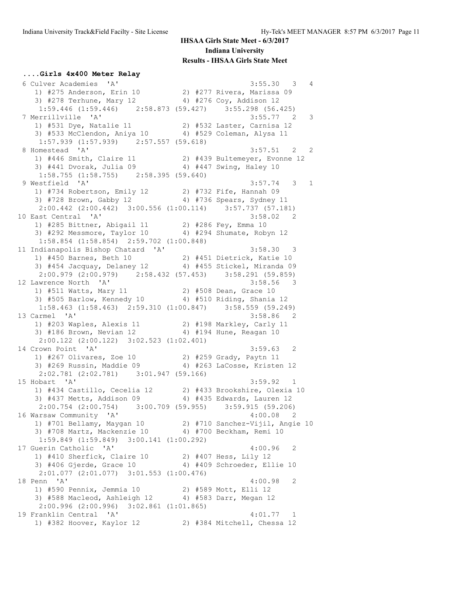### **....Girls 4x400 Meter Relay** 6 Culver Academies 'A' 3:55.30 3 4 1) #275 Anderson, Erin 10 2) #277 Rivera, Marissa 09 3) #278 Terhune, Mary 12 4) #276 Coy, Addison 12 1:59.446 (1:59.446) 2:58.873 (59.427) 3:55.298 (56.425) 7 Merrillville 'A' 3:55.77 2 3 1) #531 Dye, Natalie 11 2) #532 Laster, Carnisa 12 3) #533 McClendon, Aniya 10 4) #529 Coleman, Alysa 11 1:57.939 (1:57.939) 2:57.557 (59.618)<br>8 Homestead 'A' 8 Homestead 'A' 3:57.51 2 2 1) #446 Smith, Claire 11 2) #439 Bultemeyer, Evonne 12 3) #441 Dvorak, Julia 09 4) #447 Swing, Haley 10 1:58.755 (1:58.755) 2:58.395 (59.640) 9 Westfield 'A' 3:57.74 3 1 1) #734 Robertson, Emily 12 2) #732 Fife, Hannah 09 3) #728 Brown, Gabby 12 4) #736 Spears, Sydney 11 2:00.442 (2:00.442) 3:00.556 (1:00.114) 3:57.737 (57.181) 10 East Central 'A' 3:58.02 2 1) #285 Bittner, Abigail 11 2) #286 Fey, Emma 10 3) #292 Messmore, Taylor 10 4) #294 Shumate, Robyn 12 1:58.854 (1:58.854) 2:59.702 (1:00.848) 11 Indianapolis Bishop Chatard 'A' 3:58.30 3 1) #450 Barnes, Beth 10 2) #451 Dietrick, Katie 10 3) #454 Jacquay, Delaney 12 4) #455 Stickel, Miranda 09 2:00.979 (2:00.979) 2:58.432 (57.453) 3:58.291 (59.859)<br>awrence North 'A' 3:58.56 3 12 Lawrence North 'A' 3:58.56 3 1) #511 Watts, Mary 11 2) #508 Dean, Grace 10 3) #505 Barlow, Kennedy 10 4) #510 Riding, Shania 12 1:58.463 (1:58.463) 2:59.310 (1:00.847) 3:58.559 (59.249) 13 Carmel 'A' 3:58.86 2 1) #203 Waples, Alexis 11 2) #198 Markley, Carly 11 3) #186 Brown, Nevian 12 4) #194 Hune, Reagan 10 2:00.122 (2:00.122) 3:02.523 (1:02.401) 14 Crown Point 'A' 3:59.63 2 1) #267 Olivares, Zoe 10 2) #259 Grady, Paytn 11 3) #269 Russin, Maddie 09 4) #263 LaCosse, Kristen 12 2:02.781 (2:02.781) 3:01.947 (59.166) 15 Hobart 'A' 3:59.92 1 1) #434 Castillo, Cecelia 12 2) #433 Brookshire, Olexia 10 3) #437 Metts, Addison 09 4) #435 Edwards, Lauren 12 2:00.754 (2:00.754) 3:00.709 (59.955) 3:59.915 (59.206) 16 Warsaw Community 'A' 4:00.08 2 1) #701 Bellamy, Maygan 10 2) #710 Sanchez-Vijil, Angie 10 3) #708 Martz, Mackenzie 10 4) #700 Beckham, Remi 10 1:59.849 (1:59.849) 3:00.141 (1:00.292) 17 Guerin Catholic 'A' 4:00.96 2 1) #410 Sherfick, Claire 10 2) #407 Hess, Lily 12 3) #406 Gjerde, Grace 10 4) #409 Schroeder, Ellie 10 2:01.077 (2:01.077) 3:01.553 (1:00.476) 18 Penn 'A' 4:00.98 2 1) #590 Pennix, Jemmia 10 2) #589 Mott, Elli 12 3) #588 Macleod, Ashleigh 12 4) #583 Darr, Megan 12 2:00.996 (2:00.996) 3:02.861 (1:01.865) 19 Franklin Central 'A' 4:01.77 1 1) #382 Hoover, Kaylor 12 2) #384 Mitchell, Chessa 12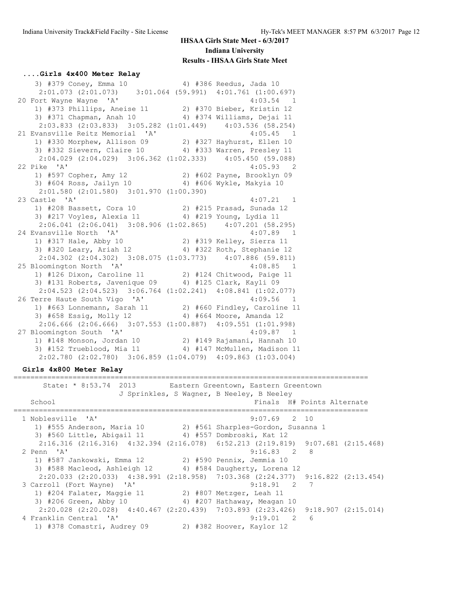#### **....Girls 4x400 Meter Relay**

3) #379 Coney, Emma 10 <br>4) #386 Reedus, Jada 10 2:01.073 (2:01.073) 3:01.064 (59.991) 4:01.761 (1:00.697)<br>20 Fort Wayne Wayne 'A' 4:03.54 1 20 Fort Wayne Wayne 'A' 4:03.54 1 1) #373 Phillips, Aneise 11 2) #370 Bieber, Kristin 12 3) #371 Chapman, Anah 10 4) #374 Williams, Dejai 11 2:03.833 (2:03.833) 3:05.282 (1:01.449) 4:03.536 (58.254) 21 Evansville Reitz Memorial 'A' 4:05.45 1 1) #330 Morphew, Allison 09 2) #327 Hayhurst, Ellen 10 3) #332 Sievern, Claire 10 4) #333 Warren, Presley 11 2:04.029 (2:04.029) 3:06.362 (1:02.333) 4:05.450 (59.088) 22 Pike 'A' 4:05.93 2 1) #597 Copher, Amy 12 2) #602 Payne, Brooklyn 09 3) #604 Ross, Jailyn 10 4) #606 Wykle, Makyia 10 2:01.580 (2:01.580) 3:01.970 (1:00.390) 23 Castle 'A' 4:07.21 1 1) #208 Bassett, Cora 10 2) #215 Prasad, Sunada 12 3) #217 Voyles, Alexia 11 4) #219 Young, Lydia 11 2:06.041 (2:06.041) 3:08.906 (1:02.865) 4:07.201 (58.295) 24 Evansville North 'A' 4:07.89 1 1) #317 Hale, Abby 10 2) #319 Kelley, Sierra 11 3) #320 Leary, Ariah 12 4) #322 Roth, Stephanie 12 2:04.302 (2:04.302) 3:08.075 (1:03.773) 4:07.886 (59.811) 25 Bloomington North 'A' 4:08.85 1 1) #126 Dixon, Caroline 11 2) #124 Chitwood, Paige 11 3) #131 Roberts, Javenique 09 4) #125 Clark, Kayli 09 2:04.523 (2:04.523) 3:06.764 (1:02.241) 4:08.841 (1:02.077) 26 Terre Haute South Vigo 'A' 4:09.56 1 1) #663 Lonnemann, Sarah 11 2) #660 Findley, Caroline 11 3) #658 Essig, Molly 12 4) #664 Moore, Amanda 12 2:06.666 (2:06.666) 3:07.553 (1:00.887) 4:09.551 (1:01.998) 27 Bloomington South 'A' 4:09.87 1 1) #148 Monson, Jordan 10 2) #149 Rajamani, Hannah 10 3) #152 Trueblood, Mia 11 4) #147 McMullen, Madison 11 2:02.780 (2:02.780) 3:06.859 (1:04.079) 4:09.863 (1:03.004)

#### **Girls 4x800 Meter Relay**

==================================================================================== ---------------<br>State: \* 8:53.74 2013 Eastern Greentown, Eastern Greentown J Sprinkles, S Wagner, B Neeley, B Neeley School Finals H# Points Alternate ==================================================================================== 1 Noblesville 'A' 9:07.69 2 10 1) #555 Anderson, Maria 10 2) #561 Sharples-Gordon, Susanna 1 3) #560 Little, Abigail 11 4) #557 Dombroski, Kat 12 2:16.316 (2:16.316) 4:32.394 (2:16.078) 6:52.213 (2:19.819) 9:07.681 (2:15.468) 2 Penn 'A' 9:16.83 2 8 1) #587 Jankowski, Emma 12 2) #590 Pennix, Jemmia 10 3) #588 Macleod, Ashleigh 12 4) #584 Daugherty, Lorena 12 2:20.033 (2:20.033) 4:38.991 (2:18.958) 7:03.368 (2:24.377) 9:16.822 (2:13.454) 3 Carroll (Fort Wayne) 'A' 9:18.91 2 7 1) #204 Falater, Maggie 11 2) #807 Metzger, Leah 11 3) #206 Green, Abby 10 4) #207 Hathaway, Meagan 10 2:20.028 (2:20.028) 4:40.467 (2:20.439) 7:03.893 (2:23.426) 9:18.907 (2:15.014)<br>
ranklin Central 'A' 9:19.01 2 6 4 Franklin Central 'A' 1) #378 Comastri, Audrey 09 2) #382 Hoover, Kaylor 12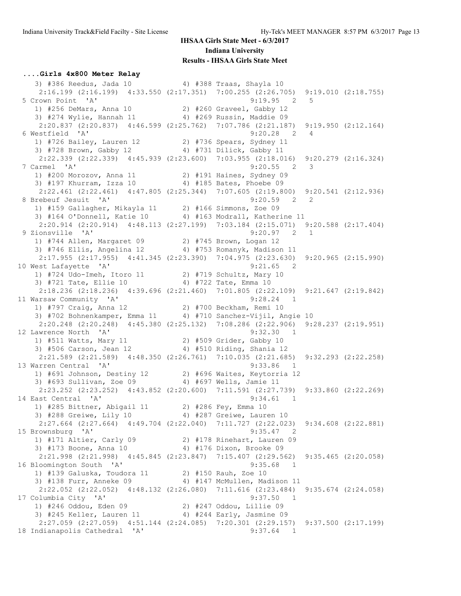#### **....Girls 4x800 Meter Relay**

3) #386 Reedus, Jada 10 4) #388 Traas, Shayla 10 2:16.199 (2:16.199)  $4:33.550$  (2:17.351)  $7:00.255$  (2:26.705)  $9:19.010$  (2:18.755)<br>5 Crown Point 'A' 9:19.95 2 5 5 Crown Point 'A' 9:19.95 2 5 1) #256 DeMars, Anna 10 2) #260 Graveel, Gabby 12 3) #274 Wylie, Hannah 11 4) #269 Russin, Maddie 09 2:20.837 (2:20.837) 4:46.599 (2:25.762) 7:07.786 (2:21.187) 9:19.950 (2:12.164) 6 Westfield 'A' 9:20.28 2 4 1) #726 Bailey, Lauren 12 2) #736 Spears, Sydney 11 3) #728 Brown, Gabby 12 4) #731 Dilick, Gabby 11 2:22.339 (2:22.339) 4:45.939 (2:23.600) 7:03.955 (2:18.016) 9:20.279 (2:16.324) 7 Carmel 'A' 9:20.55 2 3 1) #200 Morozov, Anna 11 2) #191 Haines, Sydney 09 3) #197 Khurram, Izza 10 4) #185 Bates, Phoebe 09 2:22.461 (2:22.461) 4:47.805 (2:25.344) 7:07.605 (2:19.800) 9:20.541 (2:12.936)<br>8 Brebeuf Jesuit 'A' 9:20.59 2 2 8 Brebeuf Jesuit 'A' 9:20.59 2 2 1) #159 Gallagher, Mikayla 11 2) #166 Simmons, Zoe 09 3) #164 O'Donnell, Katie 10 4) #163 Modrall, Katherine 11 2:20.914 (2:20.914) 4:48.113 (2:27.199) 7:03.184 (2:15.071) 9:20.588 (2:17.404) 9 Zionsville 'A' 9:20.97 2 1 1) #744 Allen, Margaret 09 2) #745 Brown, Logan 12 3) #746 Ellis, Angelina 12 4) #753 Romanyk, Madison 11  $2:17.955$  (2:17.955) 4:41.345 (2:23.390) 7:04.975 (2:23.630) 9:20.965 (2:15.990) 10 West Lafayette 'A' 9:21.65 2 1) #724 Udo-Imeh, Itoro 11 2) #719 Schultz, Mary 10 3) #721 Tate, Ellie 10 4) #722 Tate, Emma 10 2:18.236 (2:18.236) 4:39.696 (2:21.460) 7:01.805 (2:22.109) 9:21.647 (2:19.842) 11 Warsaw Community 'A' 9:28.24 1 1) #797 Craig, Anna 12 2) #700 Beckham, Remi 10 3) #702 Bohnenkamper, Emma 11 4) #710 Sanchez-Vijil, Angie 10 2:20.248 (2:20.248) 4:45.380 (2:25.132) 7:08.286 (2:22.906) 9:28.237 (2:19.951) 12 Lawrence North 'A' 9:32.30 1 1) #511 Watts, Mary 11 2) #509 Grider, Gabby 10 3) #506 Carson, Jean 12 4) #510 Riding, Shania 12 2:21.589 (2:21.589) 4:48.350 (2:26.761) 7:10.035 (2:21.685) 9:32.293 (2:22.258) 13 Warren Central 'A' 9:33.86 1 1) #691 Johnson, Destiny 12 2) #696 Waites, Keytorria 12 3) #693 Sullivan, Zoe 09 4) #697 Wells, Jamie 11 2:23.252 (2:23.252) 4:43.852 (2:20.600) 7:11.591 (2:27.739) 9:33.860 (2:22.269) 14 East Central 'A' 9:34.61 1 1) #285 Bittner, Abigail 11 2) #286 Fey, Emma 10 3) #288 Greiwe, Lily 10 4) #287 Greiwe, Lauren 10 2:27.664 (2:27.664) 4:49.704 (2:22.040) 7:11.727 (2:22.023) 9:34.608 (2:22.881) 15 Brownsburg 'A' 9:35.47 2 1) #171 Altier, Carly 09 2) #178 Rinehart, Lauren 09 3) #173 Boone, Anna 10 4) #176 Dixon, Brooke 09 2:21.998 (2:21.998) 4:45.845 (2:23.847) 7:15.407 (2:29.562) 9:35.465 (2:20.058) 16 Bloomington South 'A' 9:35.68 1 1) #139 Galuska, Toudora 11 2) #150 Rauh, Zoe 10 3) #138 Furr, Anneke 09 4) #147 McMullen, Madison 11 2:22.052 (2:22.052) 4:48.132 (2:26.080) 7:11.616 (2:23.484) 9:35.674 (2:24.058) 17 Columbia City 'A' 9:37.50 1 1) #246 Oddou, Eden 09 2) #247 Oddou, Lillie 09 3) #245 Keller, Lauren 11 4) #244 Early, Jasmine 09 2:27.059 (2:27.059) 4:51.144 (2:24.085) 7:20.301 (2:29.157) 9:37.500 (2:17.199) 18 Indianapolis Cathedral 'A' 9:37.64 1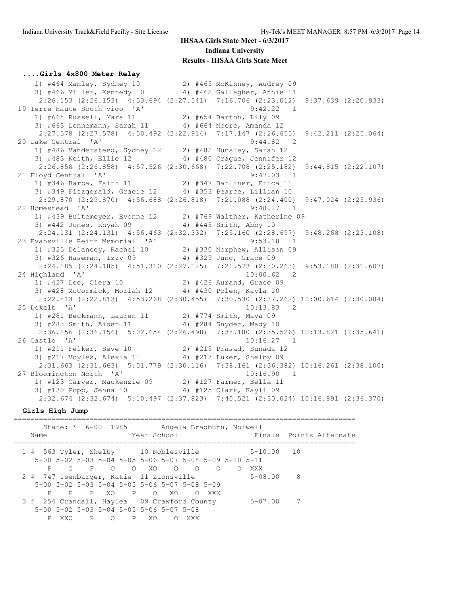#### **....Girls 4x800 Meter Relay**

 1) #464 Manley, Sydney 10 2) #465 McKinney, Audrey 09 3) #466 Miller, Kennedy 10 4) #462 Gallagher, Annie 11 2:26.153 (2:26.153) 4:53.694 (2:27.541) 7:16.706 (2:23.012) 9:37.639 (2:20.933) 19 Terre Haute South Vigo 'A' 9:42.22 1 1) #668 Russell, Mara 11 2) #654 Barton, Lily 09 3) #663 Lonnemann, Sarah 11 4) #664 Moore, Amanda 12 2:27.578 (2:27.578) 4:50.492 (2:22.914) 7:17.147 (2:26.655) 9:42.211 (2:25.064) 20 Lake Central 'A' 9:44.82 2 1) #486 Vandersteeg, Sydney 12 2) #482 Hunsley, Sarah 12 3) #483 Keith, Ellie 12 4) #480 Crague, Jennifer 12 2:26.858 (2:26.858) 4:57.526 (2:30.668) 7:22.708 (2:25.182) 9:44.815 (2:22.107) 21 Floyd Central 'A' 9:47.03 1 1) #346 Barba, Faith 11 2) #347 Batliner, Erica 11 3) #349 Fitzgerald, Gracie 12 4) #353 Pearce, Lillian 10 2:29.870 (2:29.870) 4:56.688 (2:26.818) 7:21.088 (2:24.400) 9:47.024 (2:25.936) 22 Homestead 'A' 9:48.27 1 1) #439 Bultemeyer, Evonne 12 2) #769 Walther, Katherine 09 3) #442 Jones, Rhyah 09 4) #445 Smith, Abby 10 2:24.131 (2:24.131) 4:56.463 (2:32.332) 7:25.160 (2:28.697) 9:48.268 (2:23.108) 23 Evansville Reitz Memorial 'A' 9:53.18 1 1) #325 Delancey, Rachel 10 2) #330 Morphew, Allison 09 3) #326 Haseman, Izzy 09 4) #329 Jung, Grace 09 2:24.185 (2:24.185) 4:51.310 (2:27.125) 7:21.573 (2:30.263) 9:53.180 (2:31.607)<br>ighland 'A' 10:00.62 2 24 Highland 'A' 10:00.62 2 1) #427 Lee, Ciera 10 2) #426 Aurand, Grace 09 3) #428 McCormick, Moriah 12 4) #430 Polen, Kayla 10 2:22.813 (2:22.813) 4:53.268 (2:30.455) 7:30.530 (2:37.262) 10:00.614 (2:30.084) 25 Dekalb 'A' 10:13.83 2 1) #281 Beckmann, Lauren 11 2) #774 Smith, Maya 09 3) #283 Smith, Aiden 11 4) #284 Snyder, Mady 10 2:36.156 (2:36.156) 5:02.654 (2:26.498) 7:38.180 (2:35.526) 10:13.821 (2:35.641) 26 Castle 'A' 10:16.27 1 1) #211 Felker, Seve 10 2) #215 Prasad, Sunada 12 3) #217 Voyles, Alexia 11 4) #213 Luker, Shelby 09  $2:31.663$  (2:31.663) 5:01.779 (2:30.116) 7:38.161 (2:36.382) 10:16.261 (2:38.100)<br>Loomington North 'A' 10:16.90 1 27 Bloomington North 'A' 10:16.90 1 1) #123 Carver, Mackenzie 09 2) #127 Farmer, Bella 11 3) #130 Popp, Jenna 10 4) #125 Clark, Kayli 09 2:32.674 (2:32.674) 5:10.497 (2:37.823) 7:40.521 (2:30.024) 10:16.891 (2:36.370)

#### **Girls High Jump**

================================================================================= State: \* 6-00 1985 Angela Bradburn, Norwell Name The Year School Team Points Alternate ================================================================================= 1 # 563 Tyler, Shelby 10 Noblesville 5-10.00 10 5-00 5-02 5-03 5-04 5-05 5-06 5-07 5-08 5-09 5-10 5-11 P O P O O XO O O O O XXX<br>
P O P O O XO O O O XXX<br>
747 Isenbarger, Katie 11 Zionsville<br>
5-08.00 8 2 # 747 Isenbarger, Katie 11 Zionsville 5-00 5-02 5-03 5-04 5-05 5-06 5-07 5-08 5-09 P P P XO P O XO O XXX 3 # 254 Crandall, Haylea 09 Crawford County 5-07.00 7 5-00 5-02 5-03 5-04 5-05 5-06 5-07 5-08 P XXO P O P XO O XXX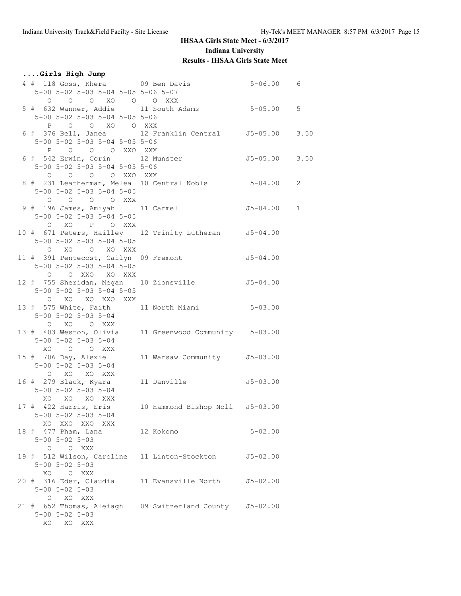### **....Girls High Jump**

| 4 # 118 Goss, Khera 69 Ben Davis<br>5-00 5-02 5-03 5-04 5-05 5-06 5-07          |           | $5 - 06.00$ 6 |  |
|---------------------------------------------------------------------------------|-----------|---------------|--|
| 0 0 0 XO 0 0 XXX                                                                |           |               |  |
| 5 # 632 Wanner, Addie 11 South Adams 5-05.00 5                                  |           |               |  |
| 5-00 5-02 5-03 5-04 5-05 5-06                                                   |           |               |  |
| P O O XO O XXX                                                                  |           |               |  |
| 6 # 376 Bell, Janea 12 Franklin Central 55-05.00 3.50                           |           |               |  |
| 5-00 5-02 5-03 5-04 5-05 5-06                                                   |           |               |  |
| P O O O XXO XXX                                                                 |           |               |  |
| 6 # 542 Erwin, Corin 12 Munster 55-05.00 3.50                                   |           |               |  |
| $5-00$ $5-02$ $5-03$ $5-04$ $5-05$ $5-06$                                       |           |               |  |
| O O O O XXO XXX                                                                 |           |               |  |
| 8 # 231 Leatherman, Melea 10 Central Noble 5-04.00 2                            |           |               |  |
| 5-00 5-02 5-03 5-04 5-05                                                        |           |               |  |
| O O O O XXX                                                                     |           |               |  |
| 9 # 196 James, Amiyah 11 Carmel<br>$5 - 00$ $5 - 02$ $5 - 03$ $5 - 04$ $5 - 05$ |           | $J5-04.00 1$  |  |
| O XO P O XXX                                                                    |           |               |  |
| 10 # 671 Peters, Hailley 12 Trinity Lutheran 55-04.00                           |           |               |  |
| 5-00 5-02 5-03 5-04 5-05                                                        |           |               |  |
| O XO O XO XXX                                                                   |           |               |  |
| 11 # 391 Pentecost, Cailyn 09 Fremont 55-04.00                                  |           |               |  |
| 5-00 5-02 5-03 5-04 5-05                                                        |           |               |  |
| O O XXO XO XXX                                                                  |           |               |  |
| 12 # 755 Sheridan, Megan 10 Zionsville 55-04.00                                 |           |               |  |
| $5 - 00$ $5 - 02$ $5 - 03$ $5 - 04$ $5 - 05$                                    |           |               |  |
| O XO XO XXO XXX                                                                 |           |               |  |
| 13 # 575 White, Faith 11 North Miami 5-03.00                                    |           |               |  |
| 5-00 5-02 5-03 5-04                                                             |           |               |  |
| O XO O XXX<br>13 # 403 Weston, Olivia 11 Greenwood Community 5-03.00            |           |               |  |
| 5-00 5-02 5-03 5-04                                                             |           |               |  |
| XO O O XXX                                                                      |           |               |  |
| 15 # 706 Day, Alexie 11 Warsaw Community 5-03.00                                |           |               |  |
| 5-00 5-02 5-03 5-04                                                             |           |               |  |
| O XO XO XXX                                                                     |           |               |  |
| 16 # 279 Black, Kyara 11 Danville 55-03.00                                      |           |               |  |
| $5 - 00$ $5 - 02$ $5 - 03$ $5 - 04$                                             |           |               |  |
| XO XO XO XXX                                                                    |           |               |  |
| 17 # 422 Harris, Eris 10 Hammond Bishop Noll J5-03.00                           |           |               |  |
| $5 - 00$ $5 - 02$ $5 - 03$ $5 - 04$                                             |           |               |  |
| XO XXO XXO XXX                                                                  |           |               |  |
| 18 # 477 Pham, Lana                                                             | 12 Kokomo | $5 - 02.00$   |  |
| $5 - 00$ $5 - 02$ $5 - 03$<br>O O XXX                                           |           |               |  |
| 19 # 512 Wilson, Caroline 11 Linton-Stockton                                    |           | J5-02.00      |  |
| $5 - 00$ $5 - 02$ $5 - 03$                                                      |           |               |  |
| XO O XXX                                                                        |           |               |  |
| 20 # 316 Eder, Claudia 11 Evansville North 55-02.00                             |           |               |  |
| $5 - 00$ $5 - 02$ $5 - 03$                                                      |           |               |  |
| O XO XXX                                                                        |           |               |  |
| 21 # 652 Thomas, Aleiagh 09 Switzerland County 55-02.00                         |           |               |  |
| $5 - 00$ $5 - 02$ $5 - 03$                                                      |           |               |  |
| XO XO XXX                                                                       |           |               |  |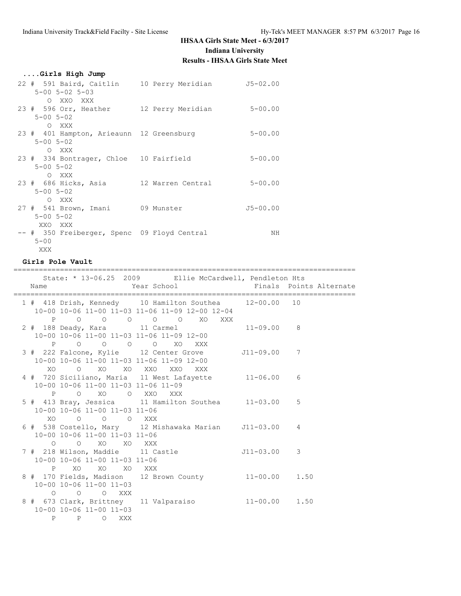| Girls High Jump                                                                               |              |
|-----------------------------------------------------------------------------------------------|--------------|
| 22 # 591 Baird, Caitlin 10 Perry Meridian 55-02.00<br>$5 - 00$ $5 - 02$ $5 - 03$<br>O XXO XXX |              |
| 23 # 596 Orr, Heather 12 Perry Meridian<br>$5 - 00$ $5 - 02$<br>O XXX                         | $5 - 00.00$  |
| 23 # 401 Hampton, Arieaunn 12 Greensburg<br>$5 - 00$ $5 - 02$<br>O XXX                        | $5 - 00.00$  |
| 23 # 334 Bontrager, Chloe 10 Fairfield<br>$5 - 00$ $5 - 02$<br>O XXX                          | $5 - 00.00$  |
| 23 # 686 Hicks, Asia 12 Warren Central<br>$5 - 00$ $5 - 02$<br>O XXX                          | $5 - 00.00$  |
| 27 # 541 Brown, Imani 09 Munster<br>$5 - 00$ $5 - 02$<br>XXO XXX                              | $J5 - 00.00$ |
| -- # 350 Freiberger, Spenc 09 Floyd Central<br>$5 - 00$<br>XXX                                | NΗ           |

### **Girls Pole Vault**

|  |                                                                                    | ==============================                                                                            |               | ================================= |
|--|------------------------------------------------------------------------------------|-----------------------------------------------------------------------------------------------------------|---------------|-----------------------------------|
|  |                                                                                    | State: * 13-06.25 2009 Ellie McCardwell, Pendleton Hts                                                    |               |                                   |
|  |                                                                                    | 1 # 418 Drish, Kennedy 10 Hamilton Southea 12-00.00 10<br>10-00 10-06 11-00 11-03 11-06 11-09 12-00 12-04 |               |                                   |
|  | 10-00 10-06 11-00 11-03 11-06 11-09 12-00<br>P O O O O XO XXX                      | P O O O O O XO XXX                                                                                        |               |                                   |
|  |                                                                                    | 3 # 222 Falcone, Kylie 12 Center Grove 511-09.00 7<br>10-00 10-06 11-00 11-03 11-06 11-09 12-00           |               |                                   |
|  | XO O XO XO XXO XXO XXX<br>10-00 10-06 11-00 11-03 11-06 11-09                      | 4 # 720 Siciliano, Maria 11 West Lafayette 11-06.00                                                       |               | 6                                 |
|  | P O XO O XXO XXX<br>10-00 10-06 11-00 11-03 11-06                                  | 5 # 413 Bray, Jessica 11 Hamilton Southea 11-03.00 5                                                      |               |                                   |
|  | XO O O XXX<br>10-00 10-06 11-00 11-03 11-06                                        | 6 # 538 Costello, Mary 12 Mishawaka Marian J11-03.00 4                                                    |               |                                   |
|  | O O XO XO XXX<br>7 # 218 Wilson, Maddie 11 Castle<br>10-00 10-06 11-00 11-03 11-06 |                                                                                                           | $J11-03.00$ 3 |                                   |
|  | P XO XO XO XXX<br>10-00 10-06 11-00 11-03                                          | 8 # 170 Fields, Madison 12 Brown County 11-00.00 1.50                                                     |               |                                   |
|  | $O$ $O$ $O$ $XXX$<br>10-00 10-06 11-00 11-03<br>P P O XXX                          | 8 # 673 Clark, Brittney 11 Valparaiso 11-00.00 1.50                                                       |               |                                   |
|  |                                                                                    |                                                                                                           |               |                                   |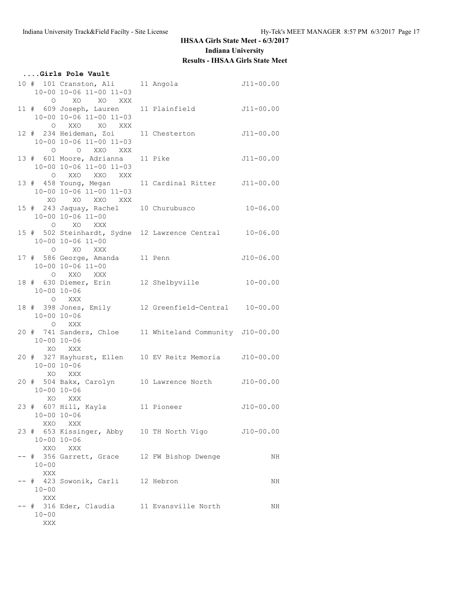|                             | Girls Pole Vault                                                               |                                                          |               |
|-----------------------------|--------------------------------------------------------------------------------|----------------------------------------------------------|---------------|
|                             | 10 # 101 Cranston, Ali 11 Angola<br>10-00 10-06 11-00 11-03<br>O XO XO XXX     | $J11-00.00$                                              |               |
|                             | 10-00 10-06 11-00 11-03<br>O XXO XO XXX                                        | 11 # 609 Joseph, Lauren 11 Plainfield 511-00.00          |               |
|                             | 12 # 234 Heideman, Zoi 11 Chesterton<br>10-00 10-06 11-00 11-03<br>O O XXO XXX |                                                          | $J11-00.00$   |
|                             | 13 # 601 Moore, Adrianna 11 Pike<br>10-00 10-06 11-00 11-03<br>O XXO XXO XXX   |                                                          | $J11 - 00.00$ |
|                             | 13 # 458 Young, Megan<br>10-00 10-06 11-00 11-03<br>XO XO XXO XXX              | 11 Cardinal Ritter J11-00.00                             |               |
|                             | 10-00 10-06 11-00<br>O XO XXX                                                  | 15 # 243 Jaquay, Rachel 10 Churubusco 10-06.00           |               |
|                             | 10-00 10-06 11-00<br>O XO XXX                                                  | 15 # 502 Steinhardt, Sydne 12 Lawrence Central 10-06.00  |               |
|                             | 17 # 586 George, Amanda 11 Penn<br>10-00 10-06 11-00<br>O XXO XXX              |                                                          | $J10 - 06.00$ |
| $10 - 00$ $10 - 06$         | O XXX                                                                          | 18 # 630 Diemer, Erin 12 Shelbyville 10-00.00            |               |
| $10 - 00$ $10 - 06$         | O XXX                                                                          | 18 # 398 Jones, Emily 12 Greenfield-Central 10-00.00     |               |
| $10 - 00$ $10 - 06$         | XO XXX                                                                         | 20 # 741 Sanders, Chloe 11 Whiteland Community J10-00.00 |               |
| $10 - 00 10 - 06$<br>XO XXX |                                                                                | 20 # 327 Hayhurst, Ellen 10 EV Reitz Memoria J10-00.00   |               |
| $10 - 00 10 - 06$           | XO XXX                                                                         | 20 # 504 Bakx, Carolyn 10 Lawrence North J10-00.00       |               |
|                             | $10 - 00$ $10 - 06$<br>XXO XXX                                                 | 23 # 607 Hill, Kayla 11 Pioneer 510-00.00                |               |
| $10 - 00$ $10 - 06$         | XXO XXX                                                                        | 23 # 653 Kissinger, Abby 10 TH North Vigo J10-00.00      |               |
| $10 - 00$<br>XXX            | -- # 356 Garrett, Grace 12 FW Bishop Dwenge                                    |                                                          | ΝH            |
| $10 - 00$<br>XXX            | -- # 423 Sowonik, Carli 12 Hebron                                              |                                                          | NH            |
| $10 - 00$<br>$\mathbf{XXX}$ | -- # 316 Eder, Claudia 11 Evansville North                                     |                                                          | ΝH            |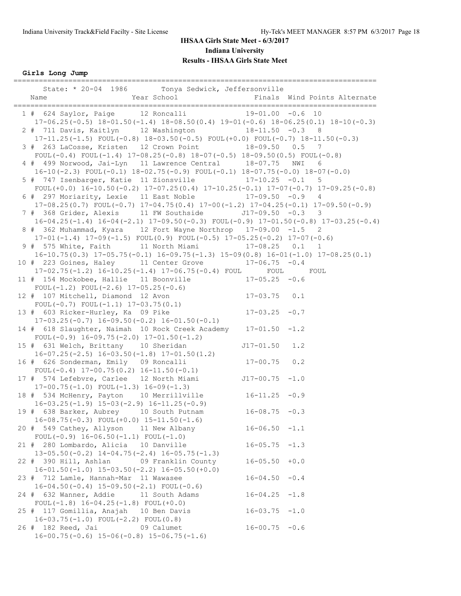**Girls Long Jump**

| -----------------------------<br>State: * 20-04 1986 Tonya Sedwick, Jeffersonville                                                                            |                    | Finals Wind Points Alternate |  |
|---------------------------------------------------------------------------------------------------------------------------------------------------------------|--------------------|------------------------------|--|
| 1 # 624 Saylor, Paige 12 Roncalli 19-01.00 -0.6 10<br>$17-06.25(-0.5)$ $18-01.50(-1.4)$ $18-08.50(0.4)$ $19-01(-0.6)$ $18-06.25(0.1)$ $18-10(-0.3)$           |                    |                              |  |
| 2 # 711 Davis, Kaitlyn 12 Washington 18-11.50 -0.3 8                                                                                                          |                    |                              |  |
| $17-11.25(-1.5)$ FOUL $(-0.8)$ $18-03.50(-0.5)$ FOUL $(+0.0)$ FOUL $(-0.7)$ $18-11.50(-0.3)$<br>3 # 263 LaCosse, Kristen 12 Crown Point 18-09.50 0.5 7        |                    |                              |  |
| FOUL(-0.4) FOUL(-1.4) $17-08.25(-0.8)$ $18-07(-0.5)$ $18-09.50(0.5)$ FOUL(-0.8)<br>4 # 499 Norwood, Jai-Lyn 11 Lawrence Central 18-07.75 NWI                  |                    | -6                           |  |
| $16-10 (-2.3)$ FOUL $(-0.1)$ $18-02.75 (-0.9)$ FOUL $(-0.1)$ $18-07.75 (-0.0)$ $18-07 (-0.0)$<br>5 # 747 Isenbarger, Katie 11 Zionsville 17-10.25 -0.1        |                    | 5                            |  |
| FOUL $(+0.0)$ 16-10.50 $(-0.2)$ 17-07.25 $(0.4)$ 17-10.25 $(-0.1)$ 17-07 $(-0.7)$ 17-09.25 $(-0.8)$<br>6 # 297 Moriarity, Lexie 11 East Noble 17-09.50 -0.9 4 |                    |                              |  |
| $17-08.25(0.7)$ FOUL(-0.7) $17-04.75(0.4)$ $17-00$ (-1.2) $17-04.25(-0.1)$ $17-09.50(-0.9)$<br>7 # 368 Grider, Alexis 11 FW Southside 517-09.50 -0.3 3        |                    |                              |  |
| $16-04.25(-1.4)$ $16-04(-2.1)$ $17-09.50(-0.3)$ $FOUL(-0.9)$ $17-01.50(-0.8)$ $17-03.25(-0.4)$                                                                |                    |                              |  |
| 8 # 362 Muhammad, Kyara 12 Fort Wayne Northrop 17-09.00 -1.5 2<br>$17-01(-1.4)$ $17-09(-1.5)$ FOUL $(0.9)$ FOUL $(-0.5)$ $17-05.25(-0.2)$ $17-07(-0.6)$       |                    |                              |  |
| 9 # 575 White, Faith 11 North Miami 17-08.25 0.1 1<br>$16-10.75(0.3)$ $17-05.75(-0.1)$ $16-09.75(-1.3)$ $15-09(0.8)$ $16-01(-1.0)$ $17-08.25(0.1)$            |                    |                              |  |
| 10 # 223 Goines, Haley 11 Center Grove 17-06.75 -0.4<br>17-02.75(-1.2) 16-10.25(-1.4) 17-06.75(-0.4) FOUL FOUL FOUL                                           |                    |                              |  |
| 11 # 154 Mockobee, Hallie 11 Boonville<br>FOUL $(-1.2)$ FOUL $(-2.6)$ 17-05.25 $(-0.6)$                                                                       | $17 - 05.25 - 0.6$ |                              |  |
| 12 # 107 Mitchell, Diamond 12 Avon<br>FOUL $(-0.7)$ FOUL $(-1.1)$ 17-03.75 $(0.1)$                                                                            | $17 - 03.75$ 0.1   |                              |  |
| 13 # 603 Ricker-Hurley, Ka 09 Pike<br>$17-03.25(-0.7)$ $16-09.50(-0.2)$ $16-01.50(-0.1)$                                                                      | $17 - 03.25 - 0.7$ |                              |  |
| 14 # 618 Slaughter, Naimah 10 Rock Creek Academy 17-01.50 -1.2                                                                                                |                    |                              |  |
| FOUL $(-0.9)$ 16-09.75 $(-2.0)$ 17-01.50 $(-1.2)$<br>15 # 631 Welch, Brittany 10 Sheridan                                                                     | $J17 - 01.50$      | 1.2                          |  |
| $16-07.25(-2.5)$ $16-03.50(-1.8)$ $17-01.50(1.2)$<br>16 # 626 Sonderman, Emily 09 Roncalli                                                                    | $17 - 00.75$ 0.2   |                              |  |
| FOUL $(-0.4)$ 17-00.75 $(0.2)$ 16-11.50 $(-0.1)$<br>17 # 574 Lefebvre, Carlee 12 North Miami                                                                  | $J17-00.75 -1.0$   |                              |  |
| $17-00.75(-1.0)$ FOUL $(-1.3)$ $16-09(-1.3)$<br>18 # 534 McHenry, Payton 10 Merrillville 16-11.25 -0.9                                                        |                    |                              |  |
| $16-03.25(-1.9)$ $15-03(-2.9)$ $16-11.25(-0.9)$<br>19 # 638 Barker, Aubrey 10 South Putnam                                                                    | $16 - 08.75 - 0.3$ |                              |  |
| $16-08.75(-0.3)$ FOUL $(+0.0)$ $15-11.50(-1.6)$<br>20 # 549 Cathey, Allyson 11 New Albany                                                                     | $16 - 06.50 - 1.1$ |                              |  |
| FOUL $(-0.9)$ 16-06.50 $(-1.1)$ FOUL $(-1.0)$<br>21 # 280 Lombardo, Alicia 10 Danville                                                                        | $16 - 05.75 - 1.3$ |                              |  |
| $13-05.50(-0.2)$ $14-04.75(-2.4)$ $16-05.75(-1.3)$<br>22 # 390 Hill, Ashlan<br>09 Franklin County                                                             | $16 - 05.50 + 0.0$ |                              |  |
| $16-01.50(-1.0)$ $15-03.50(-2.2)$ $16-05.50(+0.0)$                                                                                                            |                    |                              |  |
| 23 # 712 Lamle, Hannah-Mar 11 Wawasee<br>$16-04.50(-0.4)$ 15-09.50(-2.1) FOUL(-0.6)                                                                           | $16 - 04.50$       | $-0.4$                       |  |
| 24 # 632 Wanner, Addie 11 South Adams<br>FOUL $(-1.8)$ 16-04.25 $(-1.8)$ FOUL $(+0.0)$                                                                        | $16 - 04.25$       | $-1.8$                       |  |
| 25 # 117 Gomillia, Anajah 10 Ben Davis<br>$16-03.75(-1.0)$ FOUL $(-2.2)$ FOUL $(0.8)$                                                                         | $16 - 03.75 - 1.0$ |                              |  |
| 26 # 182 Reed, Jai<br>09 Calumet<br>$16-00.75(-0.6)$ $15-06(-0.8)$ $15-06.75(-1.6)$                                                                           | $16 - 00.75 - 0.6$ |                              |  |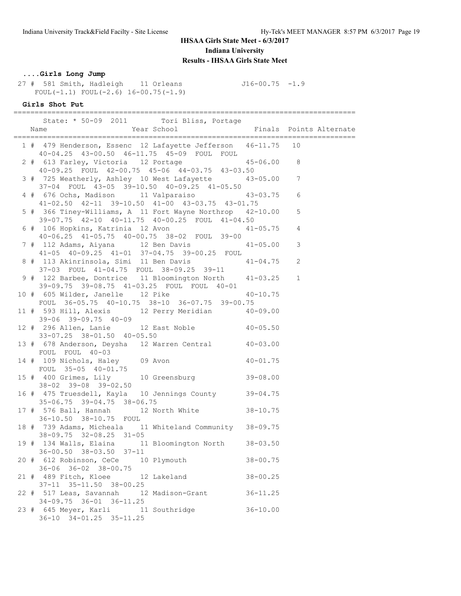### **....Girls Long Jump**

 27 # 581 Smith, Hadleigh 11 Orleans J16-00.75 -1.9 FOUL( $-1.1$ ) FOUL( $-2.6$ ) 16-00.75( $-1.9$ )

### **Girls Shot Put**

|  | State: * 50-09 2011 Tori Bliss, Portage                                                                     |   |
|--|-------------------------------------------------------------------------------------------------------------|---|
|  | 1 # 479 Henderson, Essenc 12 Lafayette Jefferson 46-11.75 10<br>40-04.25 43-00.50 46-11.75 45-09 FOUL FOUL  |   |
|  | 2 # 613 Farley, Victoria 12 Portage 45-06.00 8<br>40-09.25 FOUL 42-00.75 45-06 44-03.75 43-03.50            |   |
|  | 3 # 725 Weatherly, Ashley 10 West Lafayette 43-05.00 7<br>37-04 FOUL 43-05 39-10.50 40-09.25 41-05.50       |   |
|  | 4 # 676 Ochs, Madison 11 Valparaiso 43-03.75 6<br>41-02.50 42-11 39-10.50 41-00 43-03.75 43-01.75           |   |
|  | 5 # 366 Tiney-Williams, A 11 Fort Wayne Northrop 42-10.00<br>39-07.75 42-10 40-11.75 40-00.25 FOUL 41-04.50 | 5 |
|  | 6 # 106 Hopkins, Katrinia 12 Avon 41-05.75 4<br>40-06.25 41-05.75 40-00.75 38-02 FOUL 39-00                 |   |
|  | 7 # 112 Adams, Aiyana 12 Ben Davis 41-05.00<br>$41-05$ $40-09.25$ $41-01$ $37-04.75$ $39-00.25$ FOUL        | 3 |
|  | 8 # 113 Akinrinsola, Simi 11 Ben Davis 41-04.75 2<br>37-03 FOUL 41-04.75 FOUL 38-09.25 39-11                |   |
|  | 9 # 122 Barbee, Dontrice 11 Bloomington North 41-03.25 1<br>39-09.75 39-08.75 41-03.25 FOUL FOUL 40-01      |   |
|  | 10 # 605 Wilder, Janelle 12 Pike 40-10.75<br>FOUL 36-05.75 40-10.75 38-10 36-07.75 39-00.75                 |   |
|  | 11 # 593 Hill, Alexis 12 Perry Meridian 40-09.00<br>$39-06$ $39-09.75$ $40-09$                              |   |
|  | 12 # 296 Allen, Lanie 12 East Noble 40-05.50<br>33-07.25 38-01.50 40-05.50                                  |   |
|  | 13 # 678 Anderson, Deysha 12 Warren Central 40-03.00<br>FOUL FOUL 40-03                                     |   |
|  | 14 # 109 Nichols, Haley 09 Avon 40-01.75<br>FOUL 35-05 40-01.75                                             |   |
|  | 15 # 400 Grimes, Lily 10 Greensburg 39-08.00<br>38-02 39-08 39-02.50                                        |   |
|  | 16 # 475 Truesdell, Kayla 10 Jennings County 39-04.75<br>35-06.75 39-04.75 38-06.75                         |   |
|  | 17 # 576 Ball, Hannah 12 North White 38-10.75<br>36-10.50 38-10.75 FOUL                                     |   |
|  | 18 # 739 Adams, Micheala 11 Whiteland Community 38-09.75<br>$38 - 09.75$ $32 - 08.25$ $31 - 05$             |   |
|  | 19 # 134 Walls, Elaina 11 Bloomington North 38-03.50<br>$36 - 00.50$ $38 - 03.50$ $37 - 11$                 |   |
|  | 20 # 612 Robinson, CeCe 10 Plymouth<br>$38 - 00.75$<br>36-06 36-02 38-00.75                                 |   |
|  | 21 # 489 Fitch, Kloee 12 Lakeland 38-00.25<br>37-11 35-11.50 38-00.25                                       |   |
|  | 22 # 517 Leas, Savannah 12 Madison-Grant 36-11.25<br>$34-09.75$ $36-01$ $36-11.25$                          |   |
|  | 23 # 645 Meyer, Karli 11 Southridge<br>$36 - 10.00$<br>$36-10$ $34-01.25$ $35-11.25$                        |   |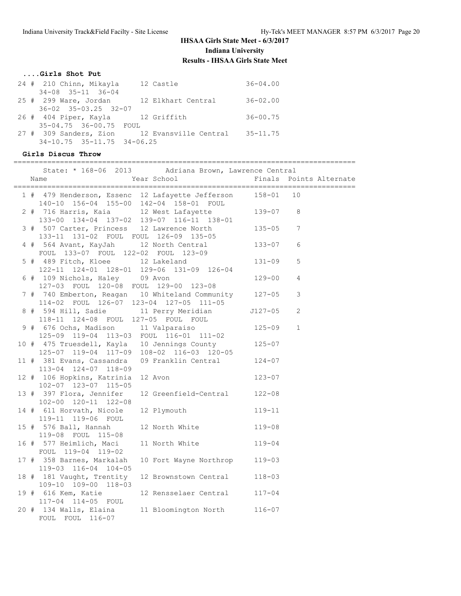### **....Girls Shot Put**

| 24 # 210 Chinn, Mikayla           | 12 Castle                                             | $36 - 04.00$ |
|-----------------------------------|-------------------------------------------------------|--------------|
| $34 - 08$ $35 - 11$ $36 - 04$     |                                                       |              |
|                                   | 25 # 299 Ware, Jordan 12 Elkhart Central              | $36 - 02.00$ |
| $36 - 02$ $35 - 03.25$ $32 - 07$  |                                                       |              |
| 26 # 404 Piper, Kayla 12 Griffith |                                                       | $36 - 00.75$ |
| 35-04.75 36-00.75 FOUL            |                                                       |              |
|                                   | 27 # 309 Sanders, Zion 12 Evansville Central 35-11.75 |              |
| $34-10.75$ $35-11.75$ $34-06.25$  |                                                       |              |
|                                   |                                                       |              |

### **Girls Discus Throw**

=================================================================================

|  |                                                                                   | State: * 168-06 2013 Adriana Brown, Lawrence Central                                             |              |                |
|--|-----------------------------------------------------------------------------------|--------------------------------------------------------------------------------------------------|--------------|----------------|
|  | Name                                                                              | Year School <a> Finals Points Alternate</a> Finals Points Alternate                              |              |                |
|  |                                                                                   | 1 # 479 Henderson, Essenc 12 Lafayette Jefferson 158-01 10                                       |              |                |
|  | 140-10 156-04 155-00 142-04 158-01 FOUL<br>2 # 716 Harris, Kaia 12 West Lafayette | 133-00 134-04 137-02 139-07 116-11 138-01                                                        | $139 - 07$ 8 |                |
|  | 3 # 507 Carter, Princess 12 Lawrence North                                        | 133-11 131-02 FOUL FOUL 126-09 135-05<br>4 # 564 Avant, KayJah 12 North Central 133-07           | $135 - 05$ 7 |                |
|  | FOUL 133-07 FOUL 122-02 FOUL 123-09                                               |                                                                                                  |              | 6              |
|  | 5 # 489 Fitch, Kloee 12 Lakeland                                                  | 122-11 124-01 128-01 129-06 131-09 126-04                                                        | $131 - 09$   | 5              |
|  | 6 # 109 Nichols, Haley 09 Avon<br>127-03 FOUL 120-08 FOUL 129-00 123-08           |                                                                                                  | 129-00       | $\overline{4}$ |
|  | 114-02 FOUL 126-07 123-04 127-05 111-05                                           | 7 # 740 Emberton, Reagan 10 Whiteland Community 127-05                                           |              | 3              |
|  | 118-11 124-08 FOUL 127-05 FOUL FOUL                                               | 8 # 594 Hill, Sadie 11 Perry Meridian 5127-05                                                    |              | 2              |
|  | 9 # 676 Ochs, Madison 11 Valparaiso<br>125-09 119-04 113-03 FOUL 116-01 111-02    |                                                                                                  | $125 - 09$   | $\mathbf{1}$   |
|  |                                                                                   | 10 # 475 Truesdell, Kayla 10 Jennings County 125-07<br>125-07 119-04 117-09 108-02 116-03 120-05 |              |                |
|  | 113-04 124-07 118-09                                                              | 11 # 381 Evans, Cassandra 09 Franklin Central 124-07                                             |              |                |
|  | 12 # 106 Hopkins, Katrinia<br>102-07 123-07 115-05                                | 12 Avon                                                                                          | $123 - 07$   |                |
|  | 13 # 397 Flora, Jennifer<br>102-00 120-11 122-08                                  | 12 Greenfield-Central 122-08                                                                     |              |                |
|  | 14 # 611 Horvath, Nicole<br>119-11 119-06 FOUL                                    | 12 Plymouth                                                                                      | 119-11       |                |
|  | 15 # 576 Ball, Hannah<br>119-08 FOUL 115-08                                       | 12 North White 119-08                                                                            |              |                |
|  | 16 # 577 Heimlich, Maci<br>FOUL 119-04 119-02                                     | 11 North White 119-04                                                                            |              |                |
|  | 17 # 358 Barnes, Markalah<br>119-03 116-04 104-05                                 | 10 Fort Wayne Northrop 119-03                                                                    |              |                |
|  | 18 # 181 Vaught, Trentity<br>109-10 109-00 118-03                                 | 12 Brownstown Central 118-03                                                                     |              |                |
|  | 19 # 616 Kem, Katie<br>117-04 114-05 FOUL                                         | 12 Rensselaer Central 117-04                                                                     |              |                |
|  | 20 # 134 Walls, Elaina<br>FOUL FOUL 116-07                                        | 11 Bloomington North 116-07                                                                      |              |                |